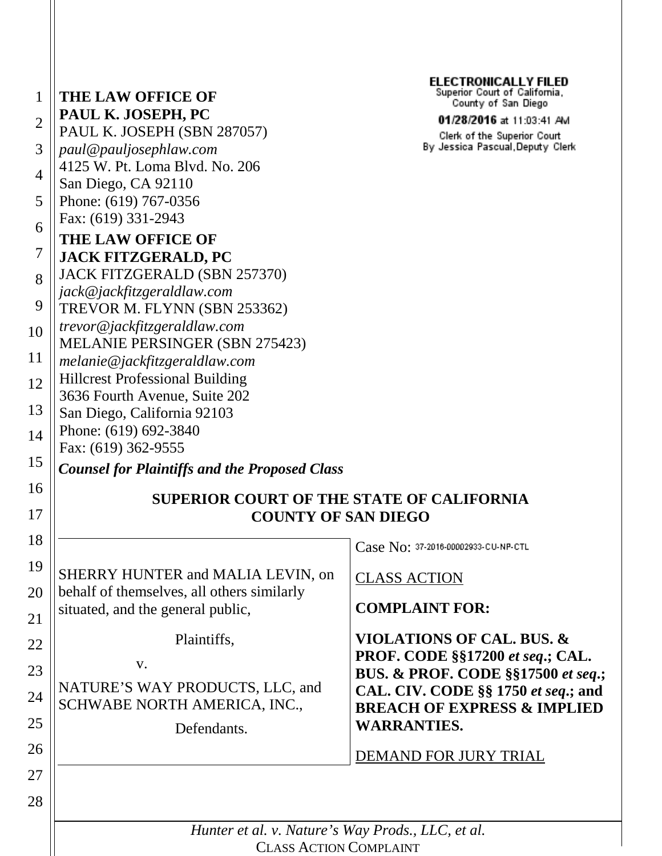| 1              | <b>THE LAW OFFICE OF</b>                                                        | <b>ELECTRONICALLY FILED</b><br>Superior Court of California,                         |
|----------------|---------------------------------------------------------------------------------|--------------------------------------------------------------------------------------|
|                | PAUL K. JOSEPH, PC                                                              | County of San Diego<br>01/28/2016 at 11:03:41 AM                                     |
| $\overline{2}$ | PAUL K. JOSEPH (SBN 287057)                                                     | Clerk of the Superior Court                                                          |
| 3              | paul@pauljosephlaw.com                                                          | By Jessica Pascual, Deputy Clerk                                                     |
| 4              | 4125 W. Pt. Loma Blvd. No. 206                                                  |                                                                                      |
|                | San Diego, CA 92110                                                             |                                                                                      |
| 5              | Phone: (619) 767-0356                                                           |                                                                                      |
| 6              | Fax: (619) 331-2943                                                             |                                                                                      |
|                | <b>THE LAW OFFICE OF</b>                                                        |                                                                                      |
| 7              | <b>JACK FITZGERALD, PC</b>                                                      |                                                                                      |
| 8              | JACK FITZGERALD (SBN 257370)                                                    |                                                                                      |
| 9              | jack@jackfitzgeraldlaw.com                                                      |                                                                                      |
|                | TREVOR M. FLYNN (SBN 253362)                                                    |                                                                                      |
| 10             | trevor@jackfitzgeraldlaw.com<br><b>MELANIE PERSINGER (SBN 275423)</b>           |                                                                                      |
| 11             | melanie@jackfitzgeraldlaw.com                                                   |                                                                                      |
| 12             | <b>Hillcrest Professional Building</b>                                          |                                                                                      |
|                | 3636 Fourth Avenue, Suite 202                                                   |                                                                                      |
| 13             | San Diego, California 92103                                                     |                                                                                      |
| 14             | Phone: (619) 692-3840                                                           |                                                                                      |
|                | Fax: (619) 362-9555                                                             |                                                                                      |
| 15             | <b>Counsel for Plaintiffs and the Proposed Class</b>                            |                                                                                      |
| 16             | <b>SUPERIOR COURT OF THE STATE OF CALIFORNIA</b>                                |                                                                                      |
| 17             | <b>COUNTY OF SAN DIEGO</b>                                                      |                                                                                      |
|                |                                                                                 |                                                                                      |
| 18             |                                                                                 | Case No: 37-2016-00002933-CU-NP-CTL                                                  |
| 19             | SHERRY HUNTER and MALIA LEVIN, on                                               |                                                                                      |
| 20             | behalf of themselves, all others similarly<br>situated, and the general public, | <b>CLASS ACTION</b>                                                                  |
|                |                                                                                 | <b>COMPLAINT FOR:</b>                                                                |
| 21             |                                                                                 |                                                                                      |
| 22             | Plaintiffs,                                                                     | <b>VIOLATIONS OF CAL. BUS. &amp;</b>                                                 |
| 23             | V.                                                                              | PROF. CODE §§17200 et seq.; CAL.                                                     |
|                | NATURE'S WAY PRODUCTS, LLC, and                                                 | <b>BUS. &amp; PROF. CODE §§17500 et seq.;</b><br>CAL. CIV. CODE §§ 1750 et seq.; and |
| 24             | SCHWABE NORTH AMERICA, INC.,                                                    | <b>BREACH OF EXPRESS &amp; IMPLIED</b>                                               |
| 25             | Defendants.                                                                     | <b>WARRANTIES.</b>                                                                   |
|                |                                                                                 |                                                                                      |
| 26             |                                                                                 | DEMAND FOR JURY TRIAL                                                                |
| 27             |                                                                                 |                                                                                      |
| 28             |                                                                                 |                                                                                      |
|                |                                                                                 |                                                                                      |
|                | Hunter et al. v. Nature's Way Prods., LLC, et al.                               |                                                                                      |
|                | <b>CLASS ACTION COMPLAINT</b>                                                   |                                                                                      |

CLASS ACTION COMPLAINT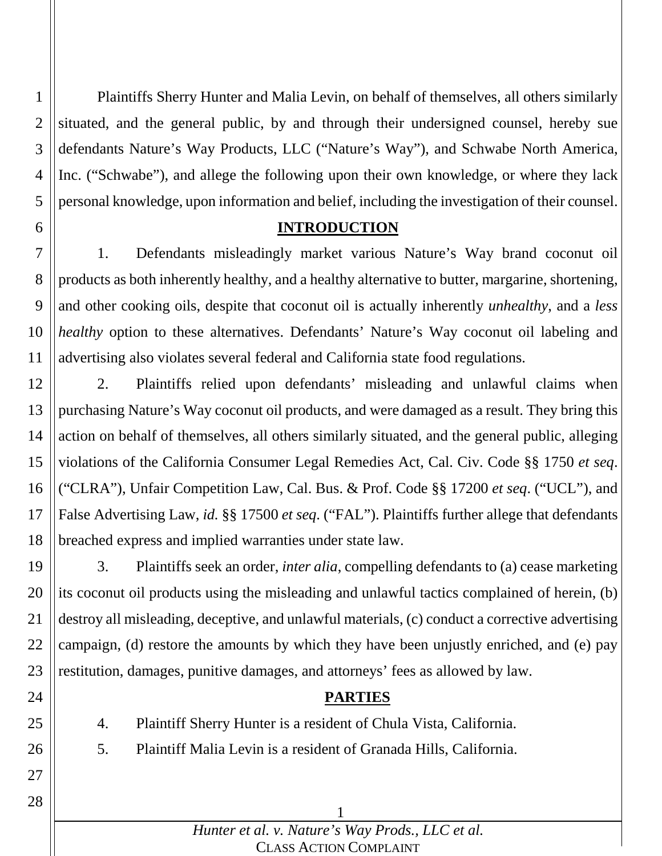1 2 3 4 5 Plaintiffs Sherry Hunter and Malia Levin, on behalf of themselves, all others similarly situated, and the general public, by and through their undersigned counsel, hereby sue defendants Nature's Way Products, LLC ("Nature's Way"), and Schwabe North America, Inc. ("Schwabe"), and allege the following upon their own knowledge, or where they lack personal knowledge, upon information and belief, including the investigation of their counsel.

### **INTRODUCTION**

6

24

25

26

27

28

7 8 9 10 11 1. Defendants misleadingly market various Nature's Way brand coconut oil products as both inherently healthy, and a healthy alternative to butter, margarine, shortening, and other cooking oils, despite that coconut oil is actually inherently *unhealthy*, and a *less healthy* option to these alternatives. Defendants' Nature's Way coconut oil labeling and advertising also violates several federal and California state food regulations.

12 13 14 15 16 17 18 2. Plaintiffs relied upon defendants' misleading and unlawful claims when purchasing Nature's Way coconut oil products, and were damaged as a result. They bring this action on behalf of themselves, all others similarly situated, and the general public, alleging violations of the California Consumer Legal Remedies Act, Cal. Civ. Code §§ 1750 *et seq*. ("CLRA"), Unfair Competition Law, Cal. Bus. & Prof. Code §§ 17200 *et seq*. ("UCL"), and False Advertising Law, *id.* §§ 17500 *et seq*. ("FAL"). Plaintiffs further allege that defendants breached express and implied warranties under state law.

19 20 21 22 23 3. Plaintiffs seek an order, *inter alia*, compelling defendants to (a) cease marketing its coconut oil products using the misleading and unlawful tactics complained of herein, (b) destroy all misleading, deceptive, and unlawful materials, (c) conduct a corrective advertising campaign, (d) restore the amounts by which they have been unjustly enriched, and (e) pay restitution, damages, punitive damages, and attorneys' fees as allowed by law.

### **PARTIES**

4. Plaintiff Sherry Hunter is a resident of Chula Vista, California.

5. Plaintiff Malia Levin is a resident of Granada Hills, California.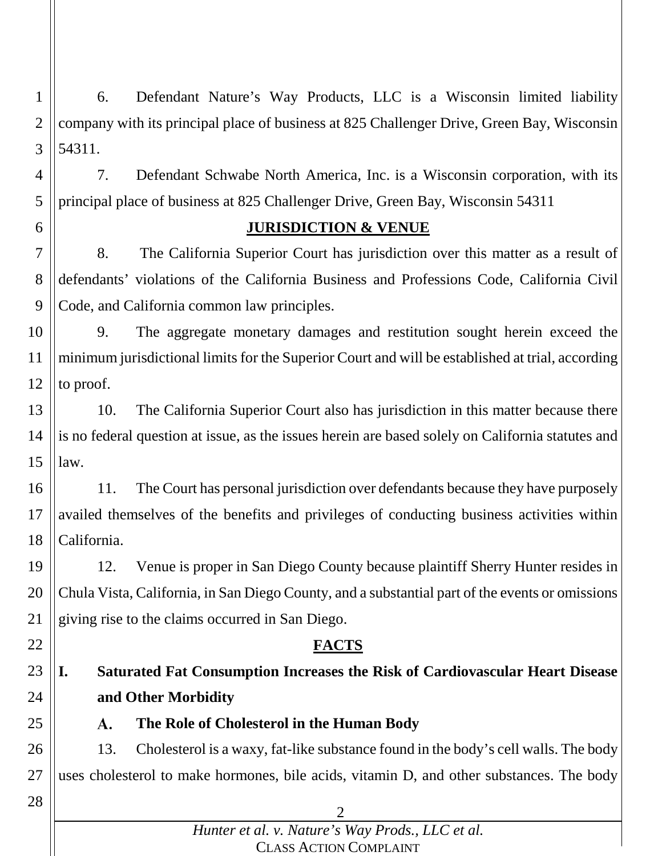1 2 3 6. Defendant Nature's Way Products, LLC is a Wisconsin limited liability company with its principal place of business at 825 Challenger Drive, Green Bay, Wisconsin 54311.

4 5 7. Defendant Schwabe North America, Inc. is a Wisconsin corporation, with its principal place of business at 825 Challenger Drive, Green Bay, Wisconsin 54311

6

### **JURISDICTION & VENUE**

7 8 9 8. The California Superior Court has jurisdiction over this matter as a result of defendants' violations of the California Business and Professions Code, California Civil Code, and California common law principles.

10 11 12 9. The aggregate monetary damages and restitution sought herein exceed the minimum jurisdictional limits for the Superior Court and will be established at trial, according to proof.

13 14 15 10. The California Superior Court also has jurisdiction in this matter because there is no federal question at issue, as the issues herein are based solely on California statutes and law.

16 17 18 11. The Court has personal jurisdiction over defendants because they have purposely availed themselves of the benefits and privileges of conducting business activities within California.

19 20 21 12. Venue is proper in San Diego County because plaintiff Sherry Hunter resides in Chula Vista, California, in San Diego County, and a substantial part of the events or omissions giving rise to the claims occurred in San Diego.

### **FACTS**

23 24 **I. Saturated Fat Consumption Increases the Risk of Cardiovascular Heart Disease and Other Morbidity**

**The Role of Cholesterol in the Human Body** А.

26 27 13. Cholesterol is a waxy, fat-like substance found in the body's cell walls. The body uses cholesterol to make hormones, bile acids, vitamin D, and other substances. The body

28

22

25

*Hunter et al. v. Nature's Way Prods., LLC et al.* CLASS ACTION COMPLAINT

 $\mathcal{D}_{\mathcal{L}}$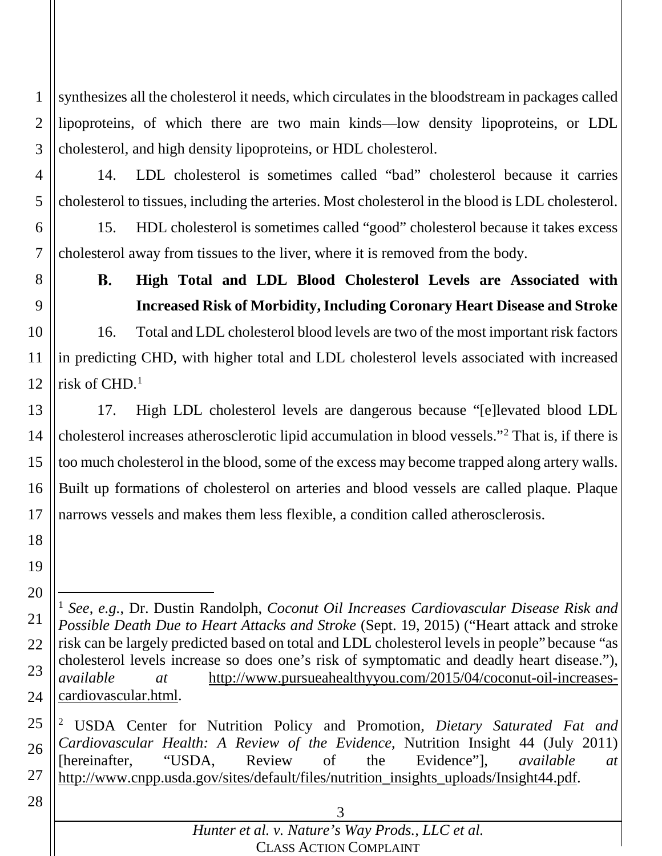1 2 3 synthesizes all the cholesterol it needs, which circulates in the bloodstream in packages called lipoproteins, of which there are two main kinds—low density lipoproteins, or LDL cholesterol, and high density lipoproteins, or HDL cholesterol.

4

5

14. LDL cholesterol is sometimes called "bad" cholesterol because it carries cholesterol to tissues, including the arteries. Most cholesterol in the blood is LDL cholesterol.

6 7 15. HDL cholesterol is sometimes called "good" cholesterol because it takes excess cholesterol away from tissues to the liver, where it is removed from the body.

8 9

### **High Total and LDL Blood Cholesterol Levels are Associated with**  В. **Increased Risk of Morbidity, Including Coronary Heart Disease and Stroke**

10 11 12 16. Total and LDL cholesterol blood levels are two of the most important risk factors in predicting CHD, with higher total and LDL cholesterol levels associated with increased risk of CHD. 1

13 14 15 16 17 17. High LDL cholesterol levels are dangerous because "[e]levated blood LDL cholesterol increases atherosclerotic lipid accumulation in blood vessels."2 That is, if there is too much cholesterol in the blood, some of the excess may become trapped along artery walls. Built up formations of cholesterol on arteries and blood vessels are called plaque. Plaque narrows vessels and makes them less flexible, a condition called atherosclerosis.

- 18
- 19

25 26 27 <sup>2</sup> USDA Center for Nutrition Policy and Promotion, *Dietary Saturated Fat and Cardiovascular Health: A Review of the Evidence*, Nutrition Insight 44 (July 2011) [hereinafter, "USDA, Review of the Evidence"], *available at* http://www.cnpp.usda.gov/sites/default/files/nutrition\_insights\_uploads/Insight44.pdf.

<sup>20</sup> 21 22 23 24 1 *See*, *e.g.*, Dr. Dustin Randolph, *Coconut Oil Increases Cardiovascular Disease Risk and Possible Death Due to Heart Attacks and Stroke* (Sept. 19, 2015) ("Heart attack and stroke risk can be largely predicted based on total and LDL cholesterol levels in people" because "as cholesterol levels increase so does one's risk of symptomatic and deadly heart disease."), *available at* http://www.pursueahealthyyou.com/2015/04/coconut-oil-increasescardiovascular.html.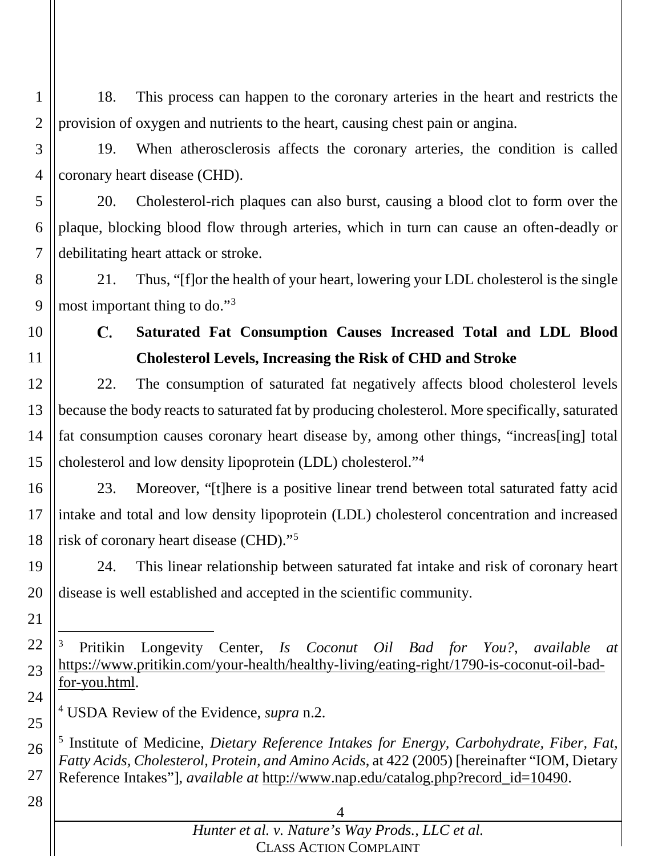1 2 18. This process can happen to the coronary arteries in the heart and restricts the provision of oxygen and nutrients to the heart, causing chest pain or angina.

3

4

19. When atherosclerosis affects the coronary arteries, the condition is called coronary heart disease (CHD).

5 6 7 20. Cholesterol-rich plaques can also burst, causing a blood clot to form over the plaque, blocking blood flow through arteries, which in turn can cause an often-deadly or debilitating heart attack or stroke.

8 9 21. Thus, "[f]or the health of your heart, lowering your LDL cholesterol is the single most important thing to do."3

10 11

C.

# **Saturated Fat Consumption Causes Increased Total and LDL Blood Cholesterol Levels, Increasing the Risk of CHD and Stroke**

12 13 14 15 22. The consumption of saturated fat negatively affects blood cholesterol levels because the body reacts to saturated fat by producing cholesterol. More specifically, saturated fat consumption causes coronary heart disease by, among other things, "increas[ing] total cholesterol and low density lipoprotein (LDL) cholesterol."4

16 17 18 23. Moreover, "[t]here is a positive linear trend between total saturated fatty acid intake and total and low density lipoprotein (LDL) cholesterol concentration and increased risk of coronary heart disease (CHD)."5

19 20 24. This linear relationship between saturated fat intake and risk of coronary heart disease is well established and accepted in the scientific community.

21

22 23 24 3 Pritikin Longevity Center, *Is Coconut Oil Bad for You?*, *available at* https://www.pritikin.com/your-health/healthy-living/eating-right/1790-is-coconut-oil-badfor-you.html.

<sup>4</sup> USDA Review of the Evidence, *supra* n.2.

<sup>5</sup> Institute of Medicine, *Dietary Reference Intakes for Energy, Carbohydrate, Fiber, Fat, Fatty Acids, Cholesterol, Protein, and Amino Acids*, at 422 (2005) [hereinafter "IOM, Dietary Reference Intakes"], *available at* http://www.nap.edu/catalog.php?record\_id=10490.

28

25

26

27

## 4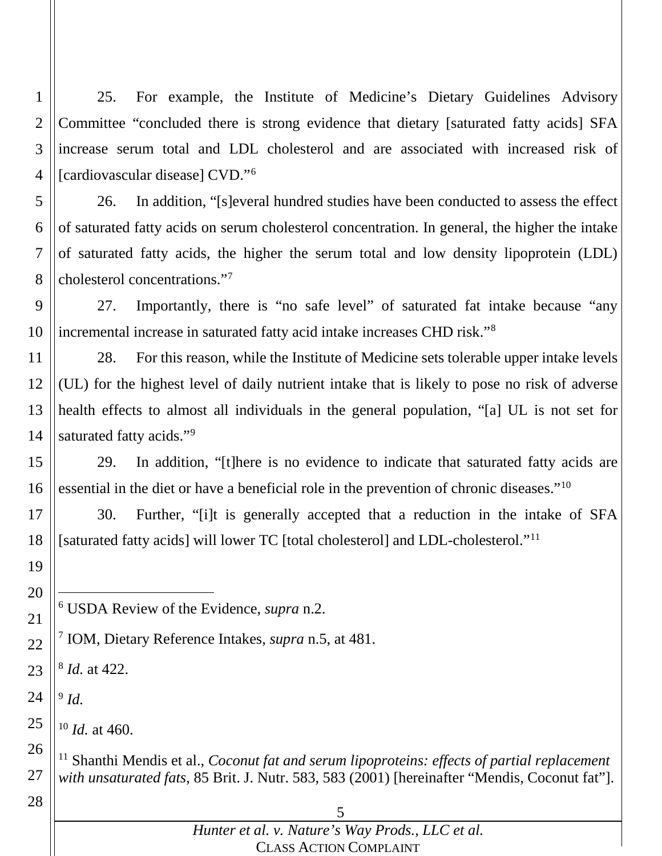25. For example, the Institute of Medicine's Dietary Guidelines Advisory Committee "concluded there is strong evidence that dietary [saturated fatty acids] SFA increase serum total and LDL cholesterol and are associated with increased risk of [cardiovascular disease] CVD."6

 26. In addition, "[s]everal hundred studies have been conducted to assess the effect of saturated fatty acids on serum cholesterol concentration. In general, the higher the intake of saturated fatty acids, the higher the serum total and low density lipoprotein (LDL) cholesterol concentrations."7

 27. Importantly, there is "no safe level" of saturated fat intake because "any incremental increase in saturated fatty acid intake increases CHD risk."8

 28. For this reason, while the Institute of Medicine sets tolerable upper intake levels (UL) for the highest level of daily nutrient intake that is likely to pose no risk of adverse health effects to almost all individuals in the general population, "[a] UL is not set for saturated fatty acids."<sup>9</sup>

 29. In addition, "[t]here is no evidence to indicate that saturated fatty acids are essential in the diet or have a beneficial role in the prevention of chronic diseases."10

 30. Further, "[i]t is generally accepted that a reduction in the intake of SFA [saturated fatty acids] will lower TC [total cholesterol] and LDL-cholesterol."<sup>11</sup>

- USDA Review of the Evidence, *supra* n.2.
- IOM, Dietary Reference Intakes, *supra* n.5, at 481.
- *Id.* at 422.
- *Id.*
- *Id.* at 460.

 Shanthi Mendis et al., *Coconut fat and serum lipoproteins: effects of partial replacement with unsaturated fats*, 85 Brit. J. Nutr. 583, 583 (2001) [hereinafter "Mendis, Coconut fat"].

## *Hunter et al. v. Nature's Way Prods., LLC et al.* CLASS ACTION COMPLAINT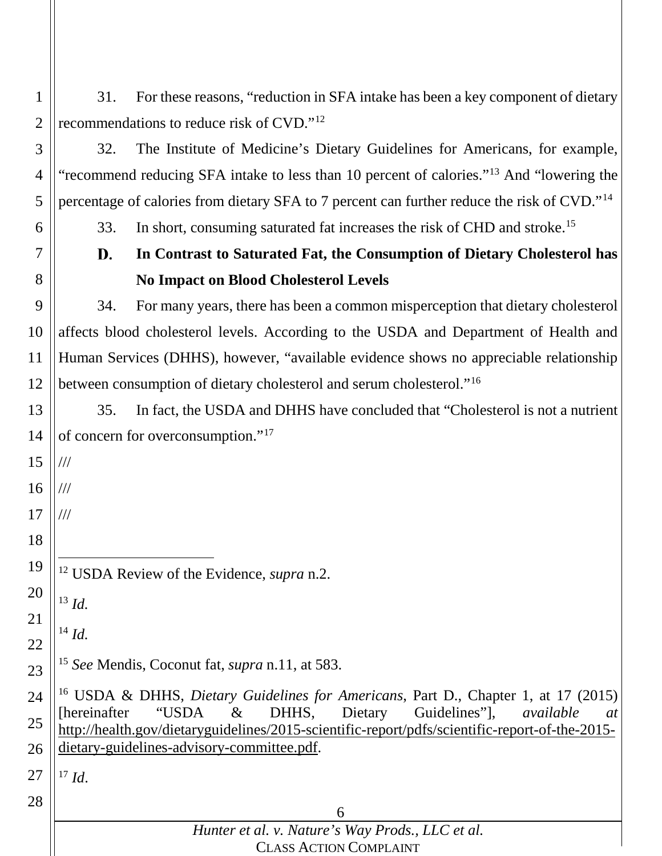| $1 \parallel$ | 31. For these reasons, "reduction in SFA intake has been a key component of dietary |
|---------------|-------------------------------------------------------------------------------------|
|               | 2    recommendations to reduce risk of $CVD$ ." <sup>12</sup>                       |

 32. The Institute of Medicine's Dietary Guidelines for Americans, for example, "recommend reducing SFA intake to less than 10 percent of calories."13 And "lowering the percentage of calories from dietary SFA to 7 percent can further reduce the risk of CVD."14

33. In short, consuming saturated fat increases the risk of CHD and stroke.<sup>15</sup>

### **In Contrast to Saturated Fat, the Consumption of Dietary Cholesterol has**  D. **No Impact on Blood Cholesterol Levels**

 34. For many years, there has been a common misperception that dietary cholesterol affects blood cholesterol levels. According to the USDA and Department of Health and Human Services (DHHS), however, "available evidence shows no appreciable relationship between consumption of dietary cholesterol and serum cholesterol."16

 35. In fact, the USDA and DHHS have concluded that "Cholesterol is not a nutrient of concern for overconsumption."17

 USDA Review of the Evidence, *supra* n.2.

 *Id.*

///

///

///

 *Id.*

 *See* Mendis, Coconut fat, *supra* n.11, at 583.

 USDA & DHHS, *Dietary Guidelines for Americans*, Part D., Chapter 1, at 17 (2015) [hereinafter "USDA & DHHS, Dietary Guidelines"], *available at* http://health.gov/dietaryguidelines/2015-scientific-report/pdfs/scientific-report-of-the-2015 dietary-guidelines-advisory-committee.pdf.

 *Id.*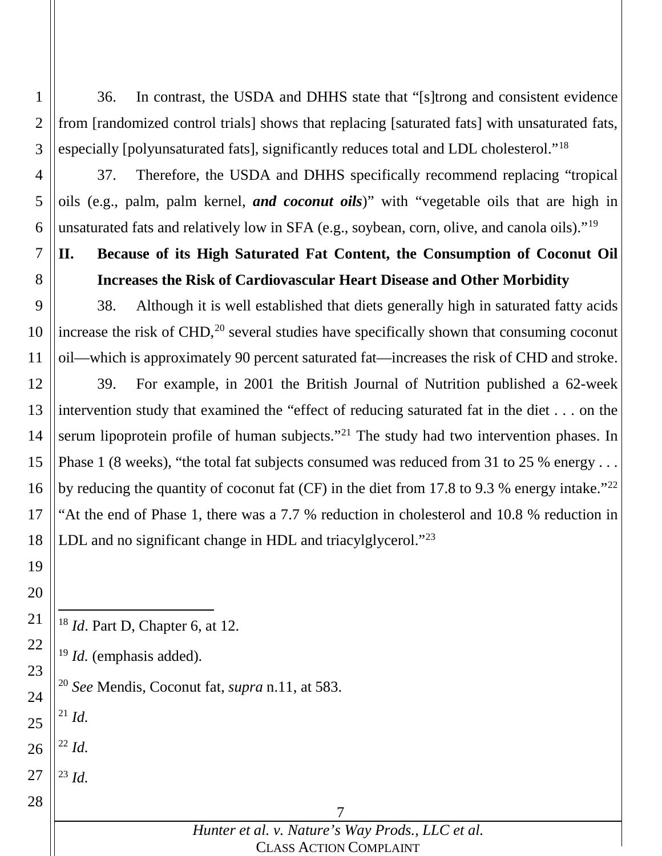36. In contrast, the USDA and DHHS state that "[s]trong and consistent evidence from [randomized control trials] shows that replacing [saturated fats] with unsaturated fats, especially [polyunsaturated fats], significantly reduces total and LDL cholesterol."18

 37. Therefore, the USDA and DHHS specifically recommend replacing "tropical oils (e.g., palm, palm kernel, *and coconut oils*)" with "vegetable oils that are high in unsaturated fats and relatively low in SFA (e.g., soybean, corn, olive, and canola oils)."19

# **II. Because of its High Saturated Fat Content, the Consumption of Coconut Oil Increases the Risk of Cardiovascular Heart Disease and Other Morbidity**

 38. Although it is well established that diets generally high in saturated fatty acids increase the risk of CHD, <sup>20</sup> several studies have specifically shown that consuming coconut oil—which is approximately 90 percent saturated fat—increases the risk of CHD and stroke.

 39. For example, in 2001 the British Journal of Nutrition published a 62-week intervention study that examined the "effect of reducing saturated fat in the diet . . . on the serum lipoprotein profile of human subjects."<sup>21</sup> The study had two intervention phases. In Phase 1 (8 weeks), "the total fat subjects consumed was reduced from 31 to 25 % energy . . . by reducing the quantity of coconut fat (CF) in the diet from 17.8 to 9.3 % energy intake."<sup>22</sup> "At the end of Phase 1, there was a 7.7 % reduction in cholesterol and 10.8 % reduction in LDL and no significant change in HDL and triacylglycerol."<sup>23</sup>

*Id*. Part D, Chapter 6, at 12.

*Id.* (emphasis added).

*See* Mendis, Coconut fat, *supra* n.11, at 583.

 *Id. Id.*

*Id.*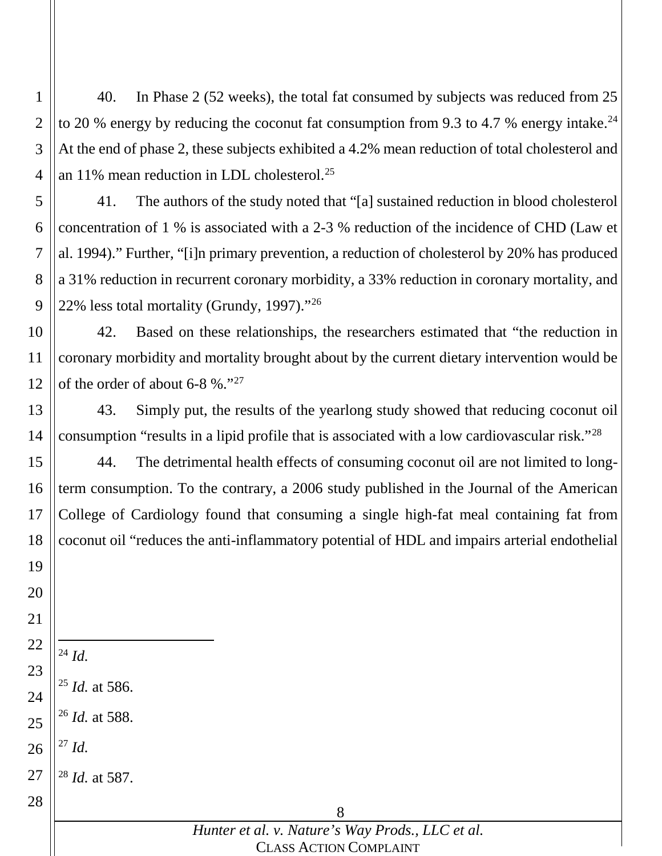40. In Phase 2 (52 weeks), the total fat consumed by subjects was reduced from 25 to 20 % energy by reducing the coconut fat consumption from 9.3 to 4.7 % energy intake.<sup>24</sup> At the end of phase 2, these subjects exhibited a 4.2% mean reduction of total cholesterol and an 11% mean reduction in LDL cholesterol.<sup>25</sup>

 41. The authors of the study noted that "[a] sustained reduction in blood cholesterol concentration of 1 % is associated with a 2-3 % reduction of the incidence of CHD (Law et al. 1994)." Further, "[i]n primary prevention, a reduction of cholesterol by 20% has produced a 31% reduction in recurrent coronary morbidity, a 33% reduction in coronary mortality, and 22% less total mortality (Grundy, 1997)."26

 42. Based on these relationships, the researchers estimated that "the reduction in coronary morbidity and mortality brought about by the current dietary intervention would be of the order of about 6-8 %."27

 43. Simply put, the results of the yearlong study showed that reducing coconut oil consumption "results in a lipid profile that is associated with a low cardiovascular risk."28

 44. The detrimental health effects of consuming coconut oil are not limited to longterm consumption. To the contrary, a 2006 study published in the Journal of the American College of Cardiology found that consuming a single high-fat meal containing fat from coconut oil "reduces the anti-inflammatory potential of HDL and impairs arterial endothelial

*Id.*

*Id.*

*Id.* at 586.

*Id.* at 588.

*Id.* at 587.

| Hunter et al. v. Nature's Way Prods., LLC et al. |
|--------------------------------------------------|
| <b>CLASS ACTION COMPLAINT</b>                    |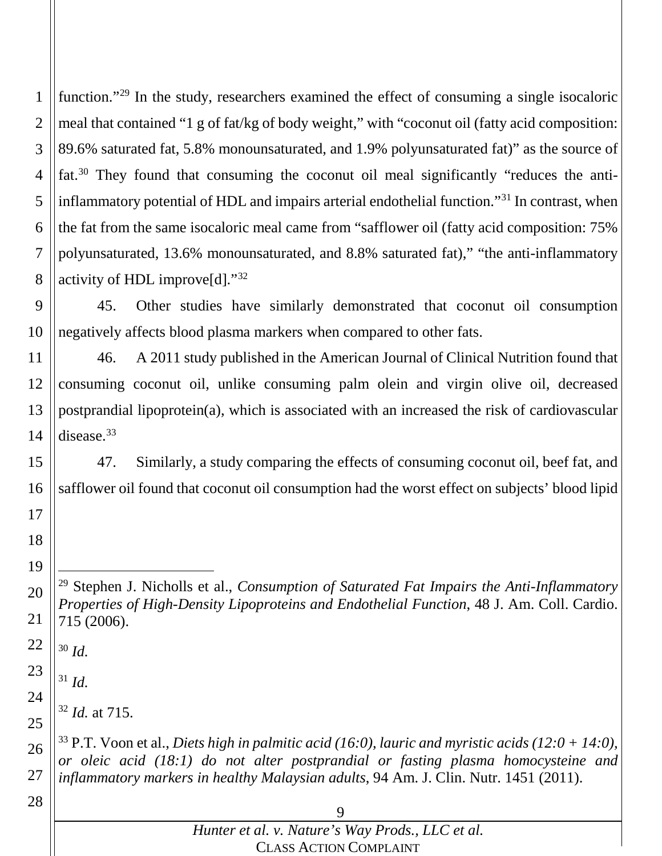function."<sup>29</sup> In the study, researchers examined the effect of consuming a single isocaloric meal that contained "1 g of fat/kg of body weight," with "coconut oil (fatty acid composition: 89.6% saturated fat, 5.8% monounsaturated, and 1.9% polyunsaturated fat)" as the source of fat.30 They found that consuming the coconut oil meal significantly "reduces the antiinflammatory potential of HDL and impairs arterial endothelial function."31 In contrast, when the fat from the same isocaloric meal came from "safflower oil (fatty acid composition: 75% polyunsaturated, 13.6% monounsaturated, and 8.8% saturated fat)," "the anti-inflammatory activity of HDL improve[d]."32

 45. Other studies have similarly demonstrated that coconut oil consumption negatively affects blood plasma markers when compared to other fats.

 46. A 2011 study published in the American Journal of Clinical Nutrition found that consuming coconut oil, unlike consuming palm olein and virgin olive oil, decreased postprandial lipoprotein(a), which is associated with an increased the risk of cardiovascular disease.33

 47. Similarly, a study comparing the effects of consuming coconut oil, beef fat, and safflower oil found that coconut oil consumption had the worst effect on subjects' blood lipid

 Stephen J. Nicholls et al., *Consumption of Saturated Fat Impairs the Anti-Inflammatory Properties of High-Density Lipoproteins and Endothelial Function*, 48 J. Am. Coll. Cardio. 715 (2006).

 *Id.*

*Id.*

*Id.* at 715.

 P.T. Voon et al., *Diets high in palmitic acid (16:0), lauric and myristic acids (12:0 + 14:0), or oleic acid (18:1) do not alter postprandial or fasting plasma homocysteine and inflammatory markers in healthy Malaysian adults*, 94 Am. J. Clin. Nutr. 1451 (2011).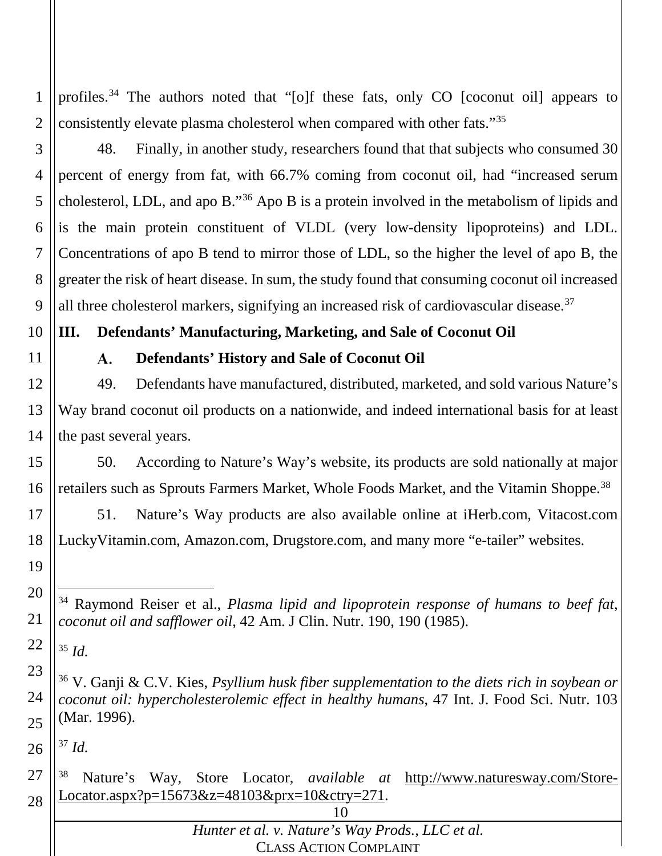2 profiles.<sup>34</sup> The authors noted that "[o]f these fats, only CO [coconut oil] appears to consistently elevate plasma cholesterol when compared with other fats."35

3 4 5 6 7 8 9 48. Finally, in another study, researchers found that that subjects who consumed 30 percent of energy from fat, with 66.7% coming from coconut oil, had "increased serum cholesterol, LDL, and apo B."36 Apo B is a protein involved in the metabolism of lipids and is the main protein constituent of VLDL (very low-density lipoproteins) and LDL. Concentrations of apo B tend to mirror those of LDL, so the higher the level of apo B, the greater the risk of heart disease. In sum, the study found that consuming coconut oil increased all three cholesterol markers, signifying an increased risk of cardiovascular disease.37

#### 10 **III. Defendants' Manufacturing, Marketing, and Sale of Coconut Oil**

#### $\mathbf{A}$ . **Defendants' History and Sale of Coconut Oil**

12 13 14 49. Defendants have manufactured, distributed, marketed, and sold various Nature's Way brand coconut oil products on a nationwide, and indeed international basis for at least the past several years.

15 16 50. According to Nature's Way's website, its products are sold nationally at major retailers such as Sprouts Farmers Market, Whole Foods Market, and the Vitamin Shoppe.38

17 18 51. Nature's Way products are also available online at iHerb.com, Vitacost.com LuckyVitamin.com, Amazon.com, Drugstore.com, and many more "e-tailer" websites.

19 20

21

11

1

22 <sup>35</sup> *Id.*

23 24 25 <sup>36</sup> V. Ganji & C.V. Kies, *Psyllium husk fiber supplementation to the diets rich in soybean or coconut oil: hypercholesterolemic effect in healthy humans*, 47 Int. J. Food Sci. Nutr. 103 (Mar. 1996).

26 <sup>37</sup> *Id.*

27 28 <sup>38</sup> Nature's Way, Store Locator, *available at* http://www.naturesway.com/Store-Locator.aspx?p=15673&z=48103&prx=10&ctry=271.

| Hunter et al. v. Nature's Way Prods., LLC et al. |  |
|--------------------------------------------------|--|
| <b>CLASS ACTION COMPLAINT</b>                    |  |

 <sup>34</sup> Raymond Reiser et al., *Plasma lipid and lipoprotein response of humans to beef fat, coconut oil and safflower oil*, 42 Am. J Clin. Nutr. 190, 190 (1985).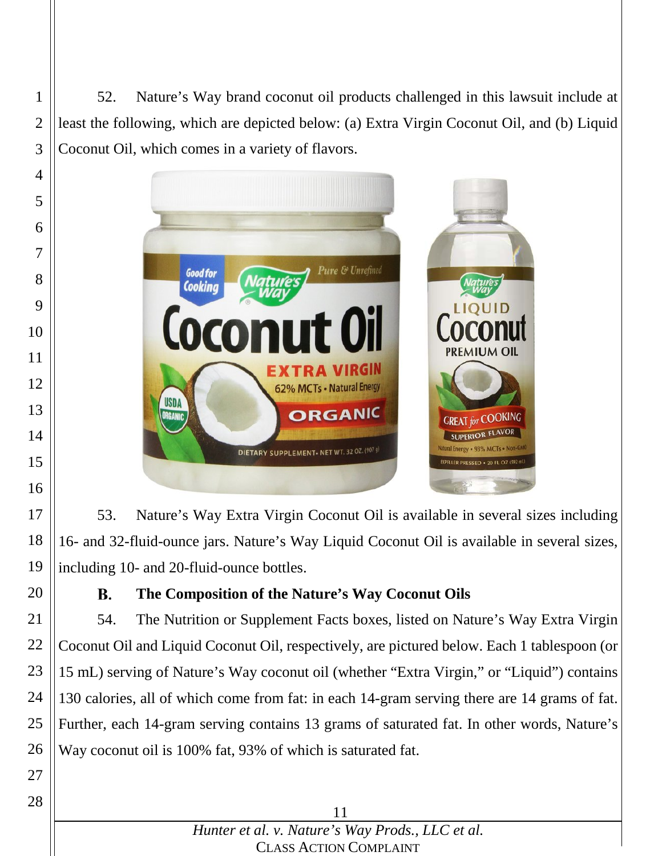52. Nature's Way brand coconut oil products challenged in this lawsuit include at least the following, which are depicted below: (a) Extra Virgin Coconut Oil, and (b) Liquid Coconut Oil, which comes in a variety of flavors.



 53. Nature's Way Extra Virgin Coconut Oil is available in several sizes including 16- and 32-fluid-ounce jars. Nature's Way Liquid Coconut Oil is available in several sizes, including 10- and 20-fluid-ounce bottles.

#### В. **The Composition of the Nature's Way Coconut Oils**

 54. The Nutrition or Supplement Facts boxes, listed on Nature's Way Extra Virgin Coconut Oil and Liquid Coconut Oil, respectively, are pictured below. Each 1 tablespoon (or mL) serving of Nature's Way coconut oil (whether "Extra Virgin," or "Liquid") contains 130 calories, all of which come from fat: in each 14-gram serving there are 14 grams of fat. Further, each 14-gram serving contains 13 grams of saturated fat. In other words, Nature's Way coconut oil is 100% fat, 93% of which is saturated fat.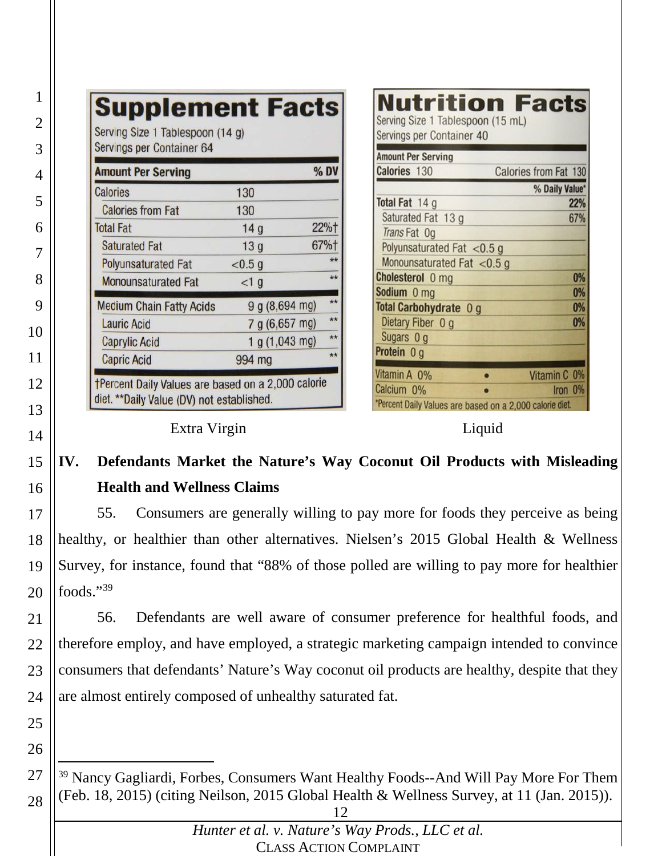| Servings per Container 64                                                                        |                        |              | <b>Amount Per Serving</b>                                                              |                         |
|--------------------------------------------------------------------------------------------------|------------------------|--------------|----------------------------------------------------------------------------------------|-------------------------|
| <b>Amount Per Serving</b>                                                                        |                        | % DV         | Calories 130                                                                           | Calories from Fat 130   |
| <b>Calories</b>                                                                                  | 130                    |              | Total Fat 14 g                                                                         | % Daily Value*<br>22%   |
| <b>Calories from Fat</b><br><b>Total Fat</b>                                                     | 130<br>14 <sub>g</sub> | 22%†         | Saturated Fat 13 g<br>Trans Fat Og                                                     | 67%                     |
| <b>Saturated Fat</b>                                                                             | 13 <sub>g</sub>        | 67%+         | Polyunsaturated Fat $<$ 0.5 g                                                          |                         |
| <b>Polyunsaturated Fat</b>                                                                       | < 0.5 g                | $**$         | Monounsaturated Fat <0.5 g                                                             |                         |
| <b>Monounsaturated Fat</b>                                                                       | <1 g                   | $**$         | Cholesterol 0 mg<br>Sodium 0 mg                                                        |                         |
| <b>Medium Chain Fatty Acids</b>                                                                  | 9 g (8, 694 mg)        | $**$         | Total Carbohydrate 0 g                                                                 | 0%                      |
| <b>Lauric Acid</b>                                                                               | 7 g (6,657 mg)         | $**$         | Dietary Fiber 0 g                                                                      | 0%                      |
| <b>Caprylic Acid</b>                                                                             | 1 g (1,043 mg)         | $**$         | Sugars 0 g                                                                             |                         |
| <b>Capric Acid</b>                                                                               | 994 mg                 | $\star\star$ | Protein 0 g                                                                            |                         |
| †Percent Daily Values are based on a 2,000 calorie<br>diet. ** Daily Value (DV) not established. |                        |              | Vitamin A 0%<br>Calcium 0%<br>*Percent Daily Values are based on a 2,000 calorie diet. | Vitamin C 0%<br>Iron 0% |

#### **IV. Defendants Market the Nature's Way Coconut Oil Products with Misleading Health and Wellness Claims**

 55. Consumers are generally willing to pay more for foods they perceive as being healthy, or healthier than other alternatives. Nielsen's 2015 Global Health & Wellness Survey, for instance, found that "88% of those polled are willing to pay more for healthier foods."39

 56. Defendants are well aware of consumer preference for healthful foods, and therefore employ, and have employed, a strategic marketing campaign intended to convince consumers that defendants' Nature's Way coconut oil products are healthy, despite that they are almost entirely composed of unhealthy saturated fat.

 <sup>39</sup> Nancy Gagliardi, Forbes, Consumers Want Healthy Foods--And Will Pay More For Them (Feb. 18, 2015) (citing Neilson, 2015 Global Health & Wellness Survey, at 11 (Jan. 2015)).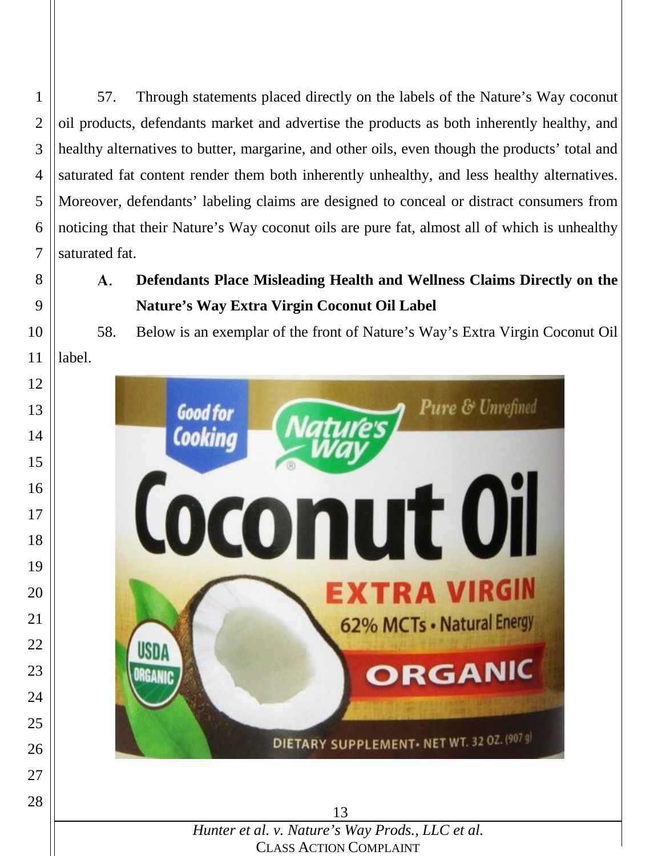57. Through statements placed directly on the labels of the Nature's Way coconut oil products, defendants market and advertise the products as both inherently healthy, and healthy alternatives to butter, margarine, and other oils, even though the products' total and saturated fat content render them both inherently unhealthy, and less healthy alternatives. Moreover, defendants' labeling claims are designed to conceal or distract consumers from noticing that their Nature's Way coconut oils are pure fat, almost all of which is unhealthy saturated fat.

A. **Defendants Place Misleading Health and Wellness Claims Directly on the Nature's Way Extra Virgin Coconut Oil Label**

58. Below is an exemplar of the front of Nature's Way's Extra Virgin Coconut Oil label.



CLASS ACTION COMPLAINT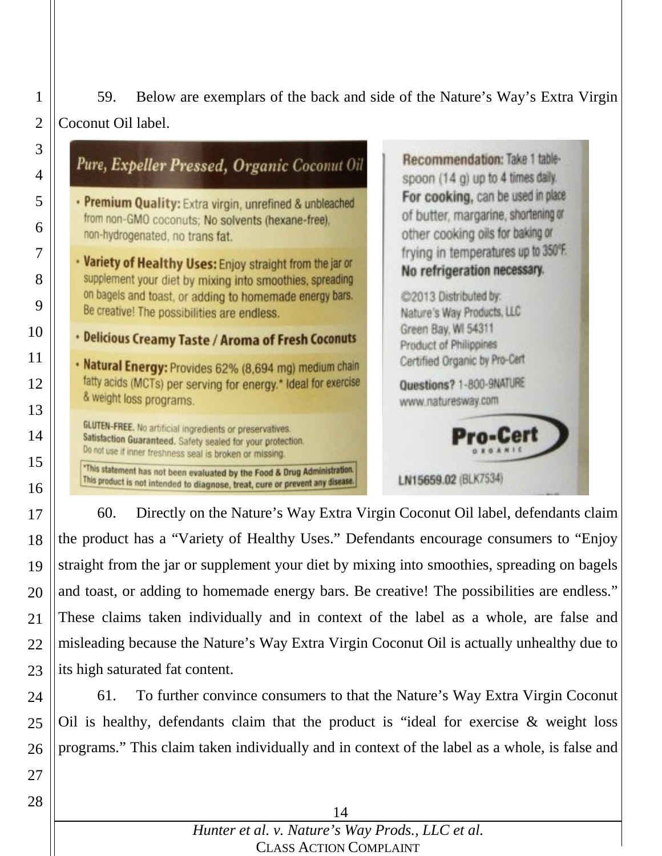59. Below are exemplars of the back and side of the Nature's Way's Extra Virgin Coconut Oil label.

| Pure, Expeller Pressed, Organic Coconut Oil                                                                                                                                                                                     | Recommendation: Take 1 table-<br>spoon (14 g) up to 4 times daily.                                                        |
|---------------------------------------------------------------------------------------------------------------------------------------------------------------------------------------------------------------------------------|---------------------------------------------------------------------------------------------------------------------------|
| . Premium Quality: Extra virgin, unrefined & unbleached<br>from non-GMO coconuts; No solvents (hexane-free),<br>non-hydrogenated, no trans fat.                                                                                 | For cooking, can be used in place<br>of butter, margarine, shortening or<br>other cooking oils for baking or              |
| . Variety of Healthy Uses: Enjoy straight from the jar or<br>supplement your diet by mixing into smoothies, spreading<br>on bagels and toast, or adding to homemade energy bars.<br>Be creative! The possibilities are endless. | frying in temperatures up to 350°F.<br>No refrigeration necessary.<br>@2013 Distributed by:<br>Nature's Way Products, LLC |
| . Delicious Creamy Taste / Aroma of Fresh Coconuts                                                                                                                                                                              | Green Bay, WI 54311<br>Product of Philippines                                                                             |
| · Natural Energy: Provides 62% (8,694 mg) medium chain<br>fatty acids (MCTs) per serving for energy.* Ideal for exercise<br>& weight loss programs.                                                                             | Certified Organic by Pro-Cert<br>Questions? 1-800-9NATURE<br>www.naturesway.com                                           |
| <b>GLUTEN-FREE.</b> No artificial ingredients or preservatives.<br>Satisfaction Guaranteed. Safety sealed for your protection.<br>Do not use if inner freshness seal is broken or missing.                                      | Pro-Cert                                                                                                                  |
| "This statement has not been evaluated by the Food & Drug Administration.<br>This product is not intended to diagnose, treat, cure or prevent any disease.                                                                      | LN15659.02 (BLK7534)                                                                                                      |

 60. Directly on the Nature's Way Extra Virgin Coconut Oil label, defendants claim the product has a "Variety of Healthy Uses." Defendants encourage consumers to "Enjoy straight from the jar or supplement your diet by mixing into smoothies, spreading on bagels and toast, or adding to homemade energy bars. Be creative! The possibilities are endless." These claims taken individually and in context of the label as a whole, are false and misleading because the Nature's Way Extra Virgin Coconut Oil is actually unhealthy due to its high saturated fat content.

 61. To further convince consumers to that the Nature's Way Extra Virgin Coconut Oil is healthy, defendants claim that the product is "ideal for exercise  $\&$  weight loss programs." This claim taken individually and in context of the label as a whole, is false and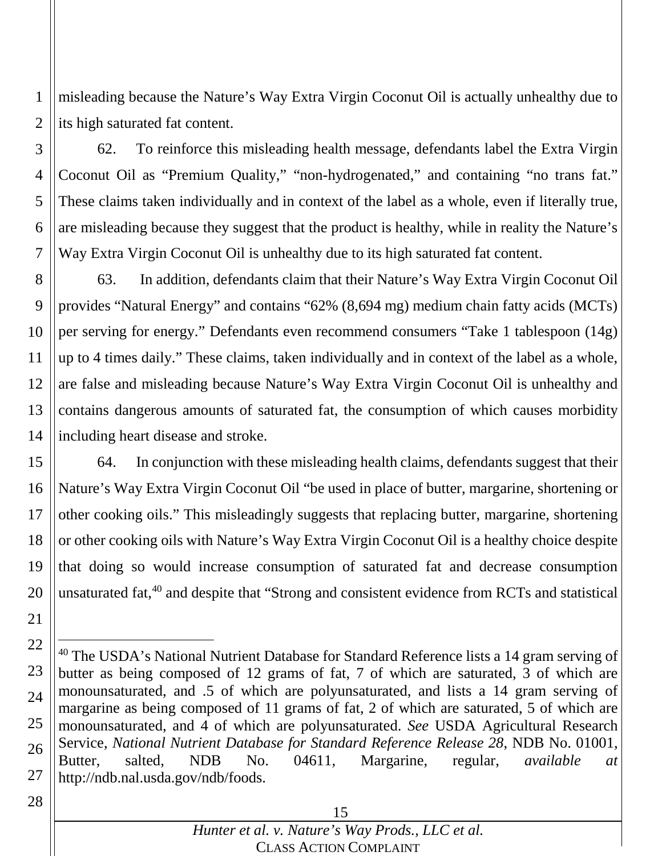1 2 misleading because the Nature's Way Extra Virgin Coconut Oil is actually unhealthy due to its high saturated fat content.

3 4 5 6 7 62. To reinforce this misleading health message, defendants label the Extra Virgin Coconut Oil as "Premium Quality," "non-hydrogenated," and containing "no trans fat." These claims taken individually and in context of the label as a whole, even if literally true, are misleading because they suggest that the product is healthy, while in reality the Nature's Way Extra Virgin Coconut Oil is unhealthy due to its high saturated fat content.

8 9 10 11 12 13 14 63. In addition, defendants claim that their Nature's Way Extra Virgin Coconut Oil provides "Natural Energy" and contains "62% (8,694 mg) medium chain fatty acids (MCTs) per serving for energy." Defendants even recommend consumers "Take 1 tablespoon (14g) up to 4 times daily." These claims, taken individually and in context of the label as a whole, are false and misleading because Nature's Way Extra Virgin Coconut Oil is unhealthy and contains dangerous amounts of saturated fat, the consumption of which causes morbidity including heart disease and stroke.

15 16 17 18 19 20 64. In conjunction with these misleading health claims, defendants suggest that their Nature's Way Extra Virgin Coconut Oil "be used in place of butter, margarine, shortening or other cooking oils." This misleadingly suggests that replacing butter, margarine, shortening or other cooking oils with Nature's Way Extra Virgin Coconut Oil is a healthy choice despite that doing so would increase consumption of saturated fat and decrease consumption unsaturated fat,<sup>40</sup> and despite that "Strong and consistent evidence from RCTs and statistical

28

<sup>22</sup> 23 24 25 26 27 <sup>40</sup> The USDA's National Nutrient Database for Standard Reference lists a 14 gram serving of butter as being composed of 12 grams of fat, 7 of which are saturated, 3 of which are monounsaturated, and .5 of which are polyunsaturated, and lists a 14 gram serving of margarine as being composed of 11 grams of fat, 2 of which are saturated, 5 of which are monounsaturated, and 4 of which are polyunsaturated. *See* USDA Agricultural Research Service, *National Nutrient Database for Standard Reference Release 28*, NDB No. 01001, Butter, salted, NDB No. 04611, Margarine, regular, *available at* http://ndb.nal.usda.gov/ndb/foods.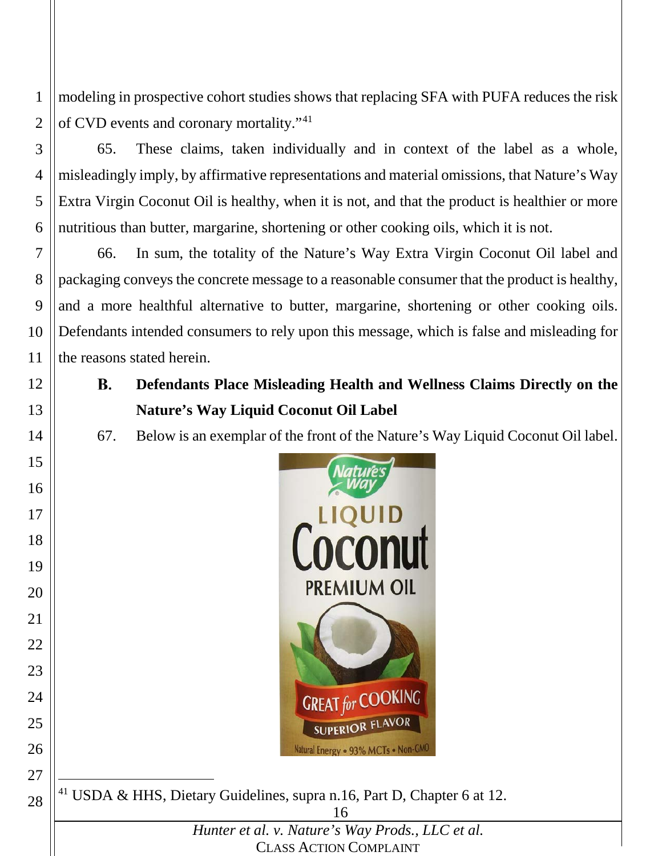modeling in prospective cohort studies shows that replacing SFA with PUFA reduces the risk of CVD events and coronary mortality."41

 65. These claims, taken individually and in context of the label as a whole, misleadingly imply, by affirmative representations and material omissions, that Nature's Way Extra Virgin Coconut Oil is healthy, when it is not, and that the product is healthier or more nutritious than butter, margarine, shortening or other cooking oils, which it is not.

 66. In sum, the totality of the Nature's Way Extra Virgin Coconut Oil label and packaging conveys the concrete message to a reasonable consumer that the product is healthy, and a more healthful alternative to butter, margarine, shortening or other cooking oils. Defendants intended consumers to rely upon this message, which is false and misleading for the reasons stated herein.

- **Defendants Place Misleading Health and Wellness Claims Directly on the B. Nature's Way Liquid Coconut Oil Label**
- 67. Below is an exemplar of the front of the Nature's Way Liquid Coconut Oil label.



USDA & HHS, Dietary Guidelines, supra n.16, Part D, Chapter 6 at 12.

*Hunter et al. v. Nature's Way Prods., LLC et al.* CLASS ACTION COMPLAINT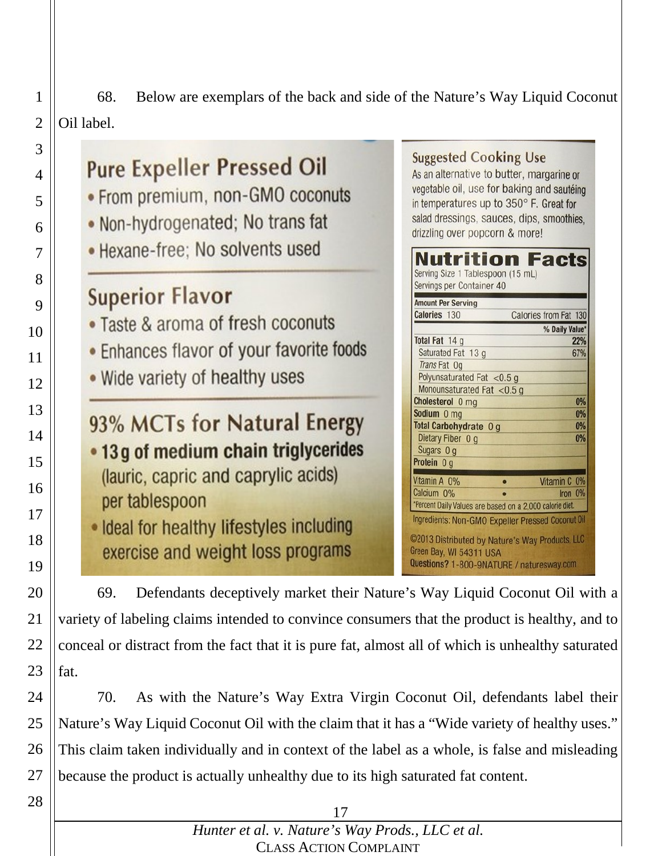68. Below are exemplars of the back and side of the Nature's Way Liquid Coconut Oil label.

**Facts** 

Calories from Fat 130

% Daily Value\*

22%

67%

 $0%$ 

 $0%$ 

 $0%$ 

0%

Vitamin C 0%

Iron 0%

**Suggested Cooking Use Pure Expeller Pressed Oil** As an alternative to butter, margarine or vegetable oil, use for baking and sautéing • From premium, non-GMO coconuts in temperatures up to 350° F. Great for . Non-hydrogenated; No trans fat salad dressings, sauces, dips, smoothies, drizzling over popcorn & more! • Hexane-free; No solvents used Nutrition Serving Size 1 Tablespoon (15 mL) Servings per Container 40 **Superior Flavor Amount Per Serving** Calories 130 • Taste & aroma of fresh coconuts Total Fat 14 g • Enhances flavor of your favorite foods Saturated Fat 13 g Trans Fat Og . Wide variety of healthy uses Polyunsaturated Fat  $<$ 0.5 g Monounsaturated Fat <0.5 g Cholesterol 0 mg Sodium 0 mg 93% MCTs for Natural Energy Total Carbohydrate 0 g Dietary Fiber 0 g • 13 g of medium chain triglycerides Sugars 0 g Protein 0 g (lauric, capric and caprylic acids) Vitamin A 0% Calcium 0% per tablespoon \*Percent Daily Values are based on a 2,000 calorie diet. Ingredients: Non-GMO Expeller Pressed Coconut Oil . Ideal for healthy lifestyles including @2013 Distributed by Nature's Way Products, LLC exercise and weight loss programs Green Bay, WI 54311 USA Questions? 1-800-9NATURE / naturesway.com 

69. Defendants deceptively market their Nature's Way Liquid Coconut Oil with a variety of labeling claims intended to convince consumers that the product is healthy, and to conceal or distract from the fact that it is pure fat, almost all of which is unhealthy saturated fat.

24 25 26 27 70. As with the Nature's Way Extra Virgin Coconut Oil, defendants label their Nature's Way Liquid Coconut Oil with the claim that it has a "Wide variety of healthy uses." This claim taken individually and in context of the label as a whole, is false and misleading because the product is actually unhealthy due to its high saturated fat content.

28

1

2

3

4

5

6

7

8

9

10

11

12

13

14

15

16

17

18

19

20

21

22

23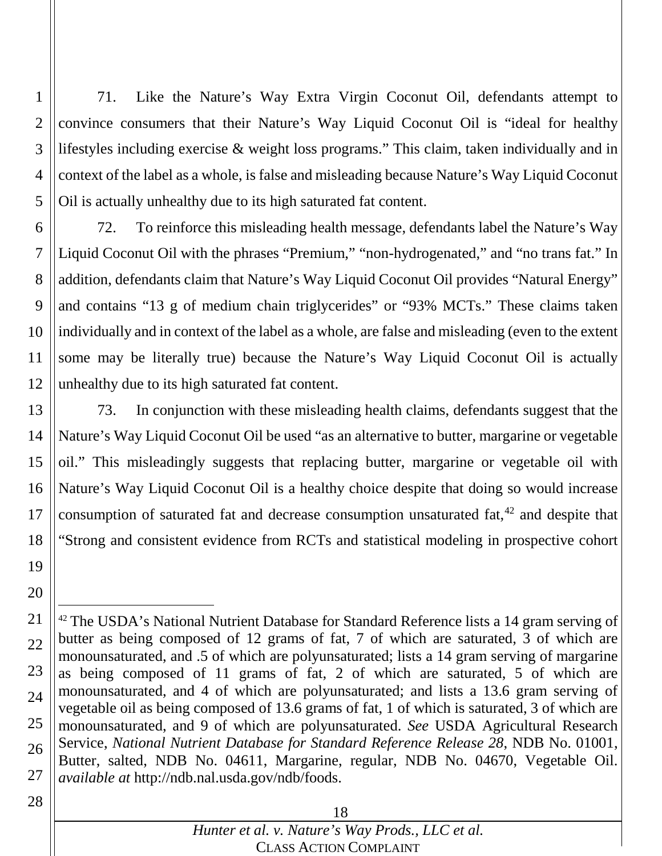1 2 3 4 5 71. Like the Nature's Way Extra Virgin Coconut Oil, defendants attempt to convince consumers that their Nature's Way Liquid Coconut Oil is "ideal for healthy lifestyles including exercise & weight loss programs." This claim, taken individually and in context of the label as a whole, is false and misleading because Nature's Way Liquid Coconut Oil is actually unhealthy due to its high saturated fat content.

6 7 8 9 10 11 12 72. To reinforce this misleading health message, defendants label the Nature's Way Liquid Coconut Oil with the phrases "Premium," "non-hydrogenated," and "no trans fat." In addition, defendants claim that Nature's Way Liquid Coconut Oil provides "Natural Energy" and contains "13 g of medium chain triglycerides" or "93% MCTs." These claims taken individually and in context of the label as a whole, are false and misleading (even to the extent some may be literally true) because the Nature's Way Liquid Coconut Oil is actually unhealthy due to its high saturated fat content.

13 14 15 16 17 18 73. In conjunction with these misleading health claims, defendants suggest that the Nature's Way Liquid Coconut Oil be used "as an alternative to butter, margarine or vegetable oil." This misleadingly suggests that replacing butter, margarine or vegetable oil with Nature's Way Liquid Coconut Oil is a healthy choice despite that doing so would increase consumption of saturated fat and decrease consumption unsaturated fat, <sup>42</sup> and despite that "Strong and consistent evidence from RCTs and statistical modeling in prospective cohort

20

19

<sup>21</sup> 22 23 24 25 26 27 <sup>42</sup> The USDA's National Nutrient Database for Standard Reference lists a 14 gram serving of butter as being composed of 12 grams of fat, 7 of which are saturated, 3 of which are monounsaturated, and .5 of which are polyunsaturated; lists a 14 gram serving of margarine as being composed of 11 grams of fat, 2 of which are saturated, 5 of which are monounsaturated, and 4 of which are polyunsaturated; and lists a 13.6 gram serving of vegetable oil as being composed of 13.6 grams of fat, 1 of which is saturated, 3 of which are monounsaturated, and 9 of which are polyunsaturated. *See* USDA Agricultural Research Service, *National Nutrient Database for Standard Reference Release 28*, NDB No. 01001, Butter, salted, NDB No. 04611, Margarine, regular, NDB No. 04670, Vegetable Oil. *available at* http://ndb.nal.usda.gov/ndb/foods.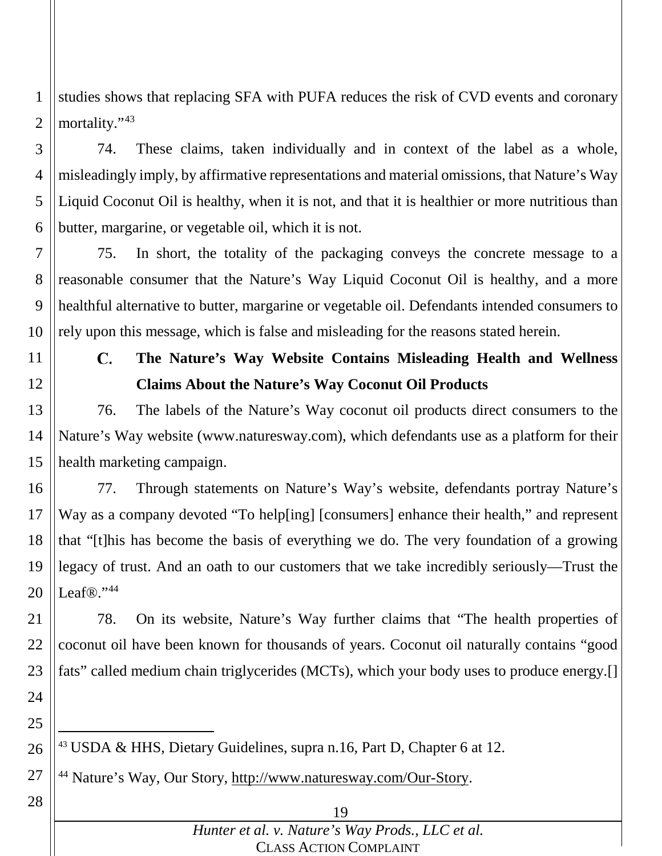1 2 studies shows that replacing SFA with PUFA reduces the risk of CVD events and coronary mortality."<sup>43</sup>

3 4 5 6 74. These claims, taken individually and in context of the label as a whole, misleadingly imply, by affirmative representations and material omissions, that Nature's Way Liquid Coconut Oil is healthy, when it is not, and that it is healthier or more nutritious than butter, margarine, or vegetable oil, which it is not.

7 8 9 10 75. In short, the totality of the packaging conveys the concrete message to a reasonable consumer that the Nature's Way Liquid Coconut Oil is healthy, and a more healthful alternative to butter, margarine or vegetable oil. Defendants intended consumers to rely upon this message, which is false and misleading for the reasons stated herein.

11 12

#### $\mathbf{C}$ . **The Nature's Way Website Contains Misleading Health and Wellness Claims About the Nature's Way Coconut Oil Products**

13 14 15 76. The labels of the Nature's Way coconut oil products direct consumers to the Nature's Way website (www.naturesway.com), which defendants use as a platform for their health marketing campaign.

16 17 18 19 20 77. Through statements on Nature's Way's website, defendants portray Nature's Way as a company devoted "To help[ing] [consumers] enhance their health," and represent that "[t]his has become the basis of everything we do. The very foundation of a growing legacy of trust. And an oath to our customers that we take incredibly seriously—Trust the Leaf®."44

21 22 23 24 78. On its website, Nature's Way further claims that "The health properties of coconut oil have been known for thousands of years. Coconut oil naturally contains "good fats" called medium chain triglycerides (MCTs), which your body uses to produce energy.[]

25

26 43 USDA & HHS, Dietary Guidelines, supra n.16, Part D, Chapter 6 at 12.

27 <sup>44</sup> Nature's Way, Our Story, http://www.naturesway.com/Our-Story.

28

### 19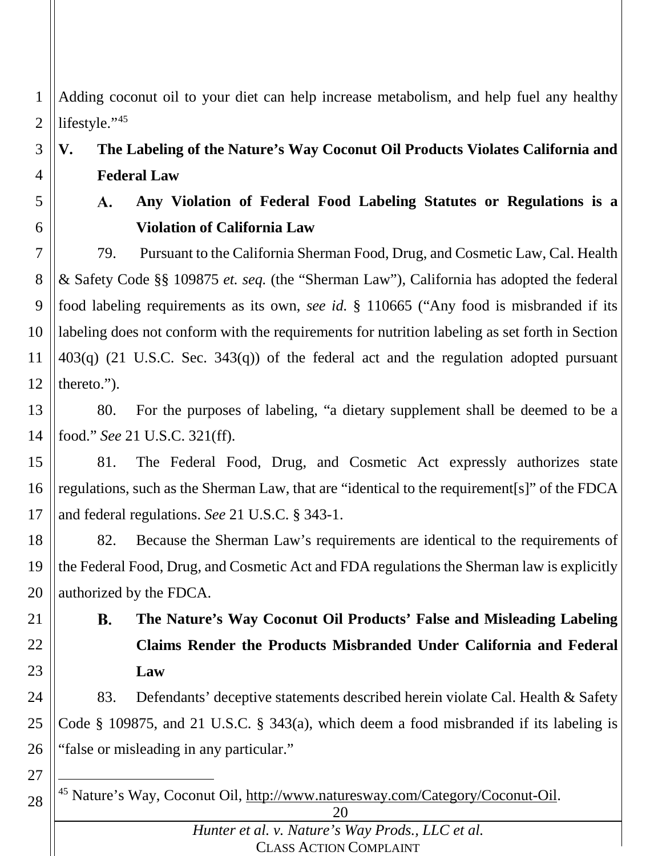1 2 Adding coconut oil to your diet can help increase metabolism, and help fuel any healthy lifestyle."45

3 4 **V. The Labeling of the Nature's Way Coconut Oil Products Violates California and Federal Law**

5 6

#### **Any Violation of Federal Food Labeling Statutes or Regulations is a**  A. **Violation of California Law**

7 8 9 10 11 12 79. Pursuant to the California Sherman Food, Drug, and Cosmetic Law, Cal. Health & Safety Code §§ 109875 *et. seq.* (the "Sherman Law"), California has adopted the federal food labeling requirements as its own, *see id.* § 110665 ("Any food is misbranded if its labeling does not conform with the requirements for nutrition labeling as set forth in Section 403(q) (21 U.S.C. Sec. 343(q)) of the federal act and the regulation adopted pursuant thereto.").

13 14 80. For the purposes of labeling, "a dietary supplement shall be deemed to be a food." *See* 21 U.S.C. 321(ff).

15 16 17 81. The Federal Food, Drug, and Cosmetic Act expressly authorizes state regulations, such as the Sherman Law, that are "identical to the requirement[s]" of the FDCA and federal regulations. *See* 21 U.S.C. § 343-1.

18 19 20 82. Because the Sherman Law's requirements are identical to the requirements of the Federal Food, Drug, and Cosmetic Act and FDA regulations the Sherman law is explicitly authorized by the FDCA.

**B.** 

21

22

23

27

28

**The Nature's Way Coconut Oil Products' False and Misleading Labeling Claims Render the Products Misbranded Under California and Federal Law**

24 25 26 83. Defendants' deceptive statements described herein violate Cal. Health & Safety Code § 109875, and 21 U.S.C. § 343(a), which deem a food misbranded if its labeling is "false or misleading in any particular."

45 Nature's Way, Coconut Oil, http://www.naturesway.com/Category/Coconut-Oil.

<sup>20</sup>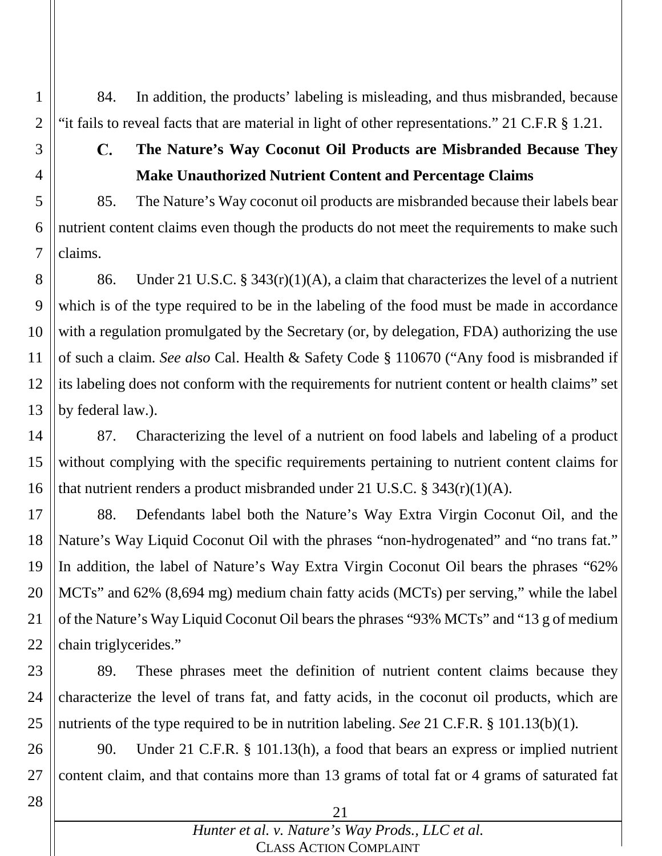84. In addition, the products' labeling is misleading, and thus misbranded, because "it fails to reveal facts that are material in light of other representations." 21 C.F.R § 1.21.

# 3 4 5 6

7

1

2

### **The Nature's Way Coconut Oil Products are Misbranded Because They**  C. **Make Unauthorized Nutrient Content and Percentage Claims**

85. The Nature's Way coconut oil products are misbranded because their labels bear nutrient content claims even though the products do not meet the requirements to make such claims.

8 9 10 11 12 13 86. Under 21 U.S.C. § 343(r)(1)(A), a claim that characterizes the level of a nutrient which is of the type required to be in the labeling of the food must be made in accordance with a regulation promulgated by the Secretary (or, by delegation, FDA) authorizing the use of such a claim. *See also* Cal. Health & Safety Code § 110670 ("Any food is misbranded if its labeling does not conform with the requirements for nutrient content or health claims" set by federal law.).

14 15 16 87. Characterizing the level of a nutrient on food labels and labeling of a product without complying with the specific requirements pertaining to nutrient content claims for that nutrient renders a product misbranded under 21 U.S.C. § 343(r)(1)(A).

17 18 19 20 21 22 88. Defendants label both the Nature's Way Extra Virgin Coconut Oil, and the Nature's Way Liquid Coconut Oil with the phrases "non-hydrogenated" and "no trans fat." In addition, the label of Nature's Way Extra Virgin Coconut Oil bears the phrases "62% MCTs" and 62% (8,694 mg) medium chain fatty acids (MCTs) per serving," while the label of the Nature's Way Liquid Coconut Oil bears the phrases "93% MCTs" and "13 g of medium chain triglycerides."

23 24 25 89. These phrases meet the definition of nutrient content claims because they characterize the level of trans fat, and fatty acids, in the coconut oil products, which are nutrients of the type required to be in nutrition labeling. *See* 21 C.F.R. § 101.13(b)(1).

26 27 90. Under 21 C.F.R. § 101.13(h), a food that bears an express or implied nutrient content claim, and that contains more than 13 grams of total fat or 4 grams of saturated fat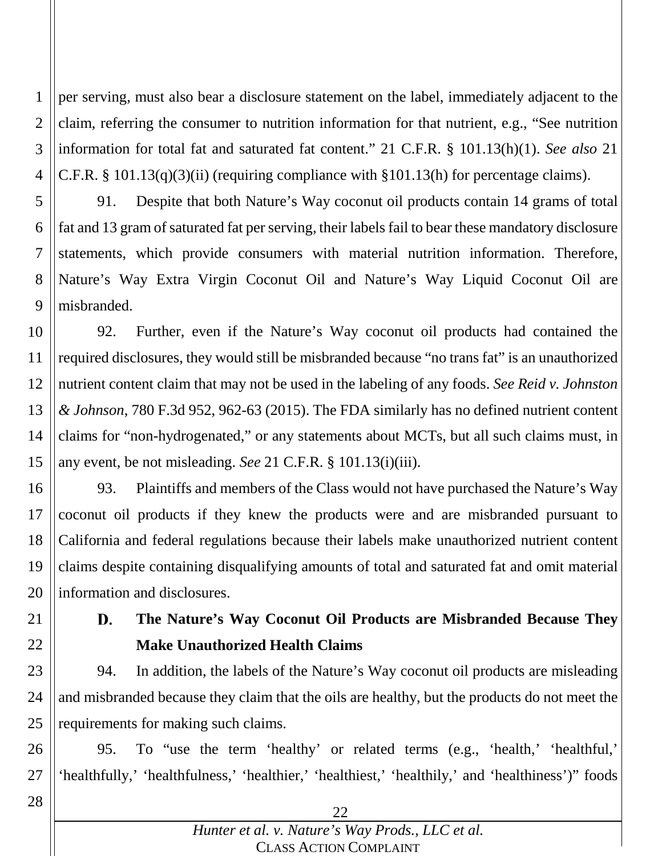1 2 3 4 per serving, must also bear a disclosure statement on the label, immediately adjacent to the claim, referring the consumer to nutrition information for that nutrient, e.g., "See nutrition information for total fat and saturated fat content." 21 C.F.R. § 101.13(h)(1). *See also* 21 C.F.R. § 101.13(q)(3)(ii) (requiring compliance with §101.13(h) for percentage claims).

5 6 7 8 9 91. Despite that both Nature's Way coconut oil products contain 14 grams of total fat and 13 gram of saturated fat per serving, their labels fail to bear these mandatory disclosure statements, which provide consumers with material nutrition information. Therefore, Nature's Way Extra Virgin Coconut Oil and Nature's Way Liquid Coconut Oil are misbranded.

10 11 12 13 14 15 92. Further, even if the Nature's Way coconut oil products had contained the required disclosures, they would still be misbranded because "no trans fat" is an unauthorized nutrient content claim that may not be used in the labeling of any foods. *See Reid v. Johnston & Johnson*, 780 F.3d 952, 962-63 (2015). The FDA similarly has no defined nutrient content claims for "non-hydrogenated," or any statements about MCTs, but all such claims must, in any event, be not misleading. *See* 21 C.F.R. § 101.13(i)(iii).

16 17 18 19 20 93. Plaintiffs and members of the Class would not have purchased the Nature's Way coconut oil products if they knew the products were and are misbranded pursuant to California and federal regulations because their labels make unauthorized nutrient content claims despite containing disqualifying amounts of total and saturated fat and omit material information and disclosures.

21 22

#### **The Nature's Way Coconut Oil Products are Misbranded Because They**  D. **Make Unauthorized Health Claims**

23 24 25 94. In addition, the labels of the Nature's Way coconut oil products are misleading and misbranded because they claim that the oils are healthy, but the products do not meet the requirements for making such claims.

26 27 95. To "use the term 'healthy' or related terms (e.g., 'health,' 'healthful,' 'healthfully,' 'healthfulness,' 'healthier,' 'healthiest,' 'healthily,' and 'healthiness')" foods

28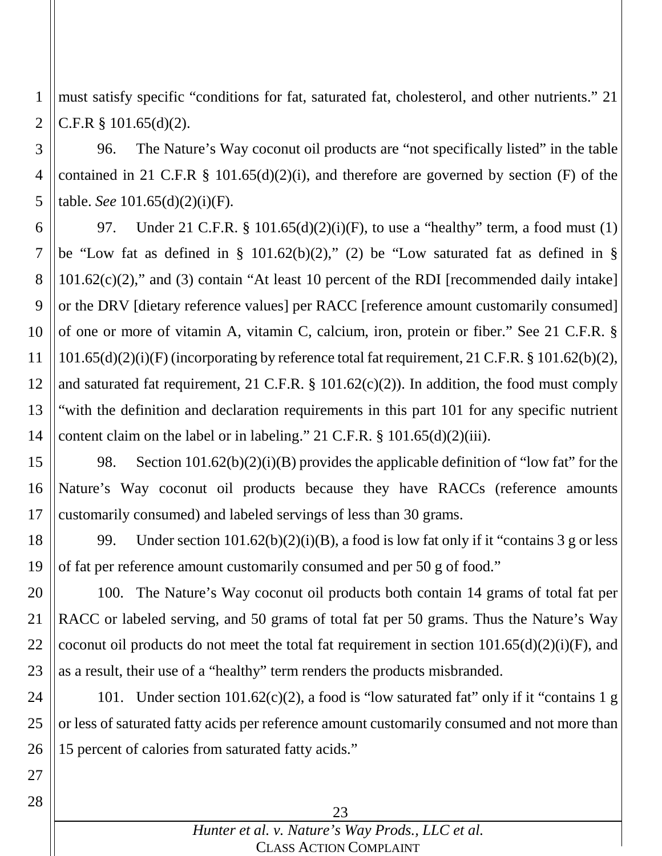1 2 must satisfy specific "conditions for fat, saturated fat, cholesterol, and other nutrients." 21 C.F.R § 101.65(d)(2).

3 4 5 96. The Nature's Way coconut oil products are "not specifically listed" in the table contained in 21 C.F.R  $\S$  101.65(d)(2)(i), and therefore are governed by section (F) of the table. *See* 101.65(d)(2)(i)(F).

6 7 8 9 10 11 12 13 14 97. Under 21 C.F.R. § 101.65(d)(2)(i)(F), to use a "healthy" term, a food must (1) be "Low fat as defined in § 101.62(b)(2)," (2) be "Low saturated fat as defined in § 101.62(c)(2)," and (3) contain "At least 10 percent of the RDI [recommended daily intake] or the DRV [dietary reference values] per RACC [reference amount customarily consumed] of one or more of vitamin A, vitamin C, calcium, iron, protein or fiber." See 21 C.F.R. § 101.65(d)(2)(i)(F) (incorporating by reference total fat requirement, 21 C.F.R. § 101.62(b)(2), and saturated fat requirement, 21 C.F.R. § 101.62(c)(2)). In addition, the food must comply "with the definition and declaration requirements in this part 101 for any specific nutrient content claim on the label or in labeling." 21 C.F.R. § 101.65(d)(2)(iii).

15 16 17 98. Section  $101.62(b)(2)(i)(B)$  provides the applicable definition of "low fat" for the Nature's Way coconut oil products because they have RACCs (reference amounts customarily consumed) and labeled servings of less than 30 grams.

18 19 99. Under section  $101.62(b)(2)(i)(B)$ , a food is low fat only if it "contains 3 g or less of fat per reference amount customarily consumed and per 50 g of food."

20 21 22 23 100. The Nature's Way coconut oil products both contain 14 grams of total fat per RACC or labeled serving, and 50 grams of total fat per 50 grams. Thus the Nature's Way coconut oil products do not meet the total fat requirement in section  $101.65(d)(2)(i)$ (F), and as a result, their use of a "healthy" term renders the products misbranded.

24 25 26 101. Under section 101.62(c)(2), a food is "low saturated fat" only if it "contains 1 g or less of saturated fatty acids per reference amount customarily consumed and not more than 15 percent of calories from saturated fatty acids."

23 *Hunter et al. v. Nature's Way Prods., LLC et al.* CLASS ACTION COMPLAINT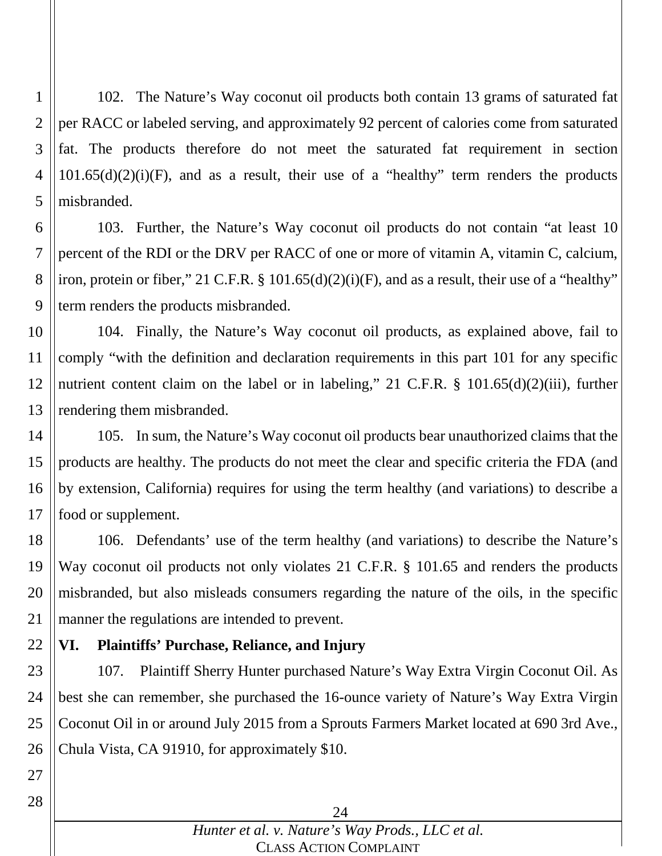1 2 3 4 5 102. The Nature's Way coconut oil products both contain 13 grams of saturated fat per RACC or labeled serving, and approximately 92 percent of calories come from saturated fat. The products therefore do not meet the saturated fat requirement in section  $101.65(d)(2)(i)$ (F), and as a result, their use of a "healthy" term renders the products misbranded.

6 7 8 9 103. Further, the Nature's Way coconut oil products do not contain "at least 10 percent of the RDI or the DRV per RACC of one or more of vitamin A, vitamin C, calcium, iron, protein or fiber," 21 C.F.R. § 101.65(d)(2)(i)(F), and as a result, their use of a "healthy" term renders the products misbranded.

10 11 12 13 104. Finally, the Nature's Way coconut oil products, as explained above, fail to comply "with the definition and declaration requirements in this part 101 for any specific nutrient content claim on the label or in labeling," 21 C.F.R. § 101.65(d)(2)(iii), further rendering them misbranded.

14 15 16 17 105. In sum, the Nature's Way coconut oil products bear unauthorized claims that the products are healthy. The products do not meet the clear and specific criteria the FDA (and by extension, California) requires for using the term healthy (and variations) to describe a food or supplement.

18 19 20 21 106. Defendants' use of the term healthy (and variations) to describe the Nature's Way coconut oil products not only violates 21 C.F.R. § 101.65 and renders the products misbranded, but also misleads consumers regarding the nature of the oils, in the specific manner the regulations are intended to prevent.

#### 22 **VI. Plaintiffs' Purchase, Reliance, and Injury**

23 24 25 26 107. Plaintiff Sherry Hunter purchased Nature's Way Extra Virgin Coconut Oil. As best she can remember, she purchased the 16-ounce variety of Nature's Way Extra Virgin Coconut Oil in or around July 2015 from a Sprouts Farmers Market located at 690 3rd Ave., Chula Vista, CA 91910, for approximately \$10.

28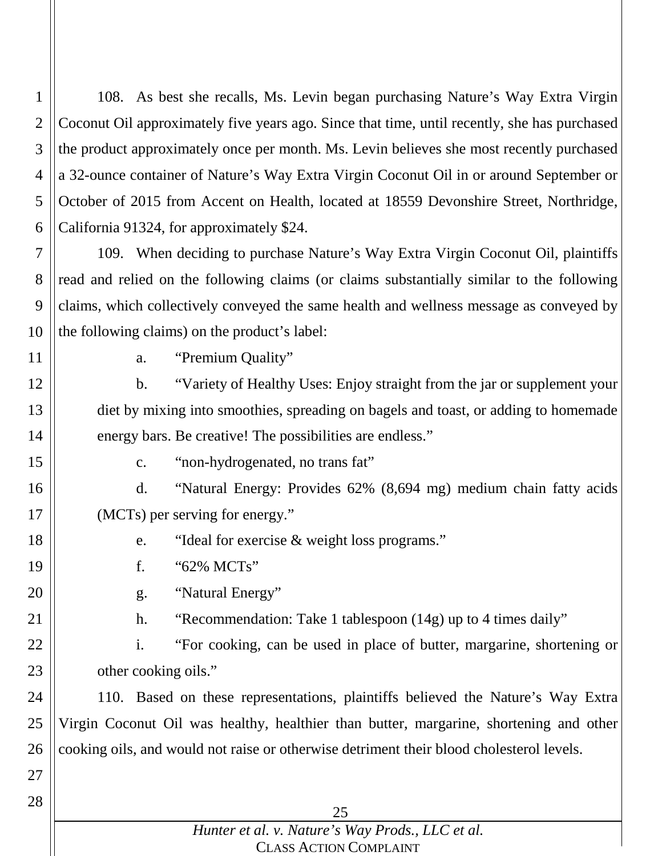1 2 3 4 5 6 108. As best she recalls, Ms. Levin began purchasing Nature's Way Extra Virgin Coconut Oil approximately five years ago. Since that time, until recently, she has purchased the product approximately once per month. Ms. Levin believes she most recently purchased a 32-ounce container of Nature's Way Extra Virgin Coconut Oil in or around September or October of 2015 from Accent on Health, located at 18559 Devonshire Street, Northridge, California 91324, for approximately \$24.

7 8 9 10 109. When deciding to purchase Nature's Way Extra Virgin Coconut Oil, plaintiffs read and relied on the following claims (or claims substantially similar to the following claims, which collectively conveyed the same health and wellness message as conveyed by the following claims) on the product's label:

11

12

13

14

18

19

a. "Premium Quality"

b. "Variety of Healthy Uses: Enjoy straight from the jar or supplement your diet by mixing into smoothies, spreading on bagels and toast, or adding to homemade energy bars. Be creative! The possibilities are endless."

15

c. "non-hydrogenated, no trans fat"

16 17 d. "Natural Energy: Provides 62% (8,694 mg) medium chain fatty acids (MCTs) per serving for energy."

- e. "Ideal for exercise & weight loss programs."
- f. "62% MCTs"
- 20 g. "Natural Energy"
- 21
- h. "Recommendation: Take 1 tablespoon (14g) up to 4 times daily"

22 23 i. "For cooking, can be used in place of butter, margarine, shortening or other cooking oils."

24 25 26 110. Based on these representations, plaintiffs believed the Nature's Way Extra Virgin Coconut Oil was healthy, healthier than butter, margarine, shortening and other cooking oils, and would not raise or otherwise detriment their blood cholesterol levels.

27

28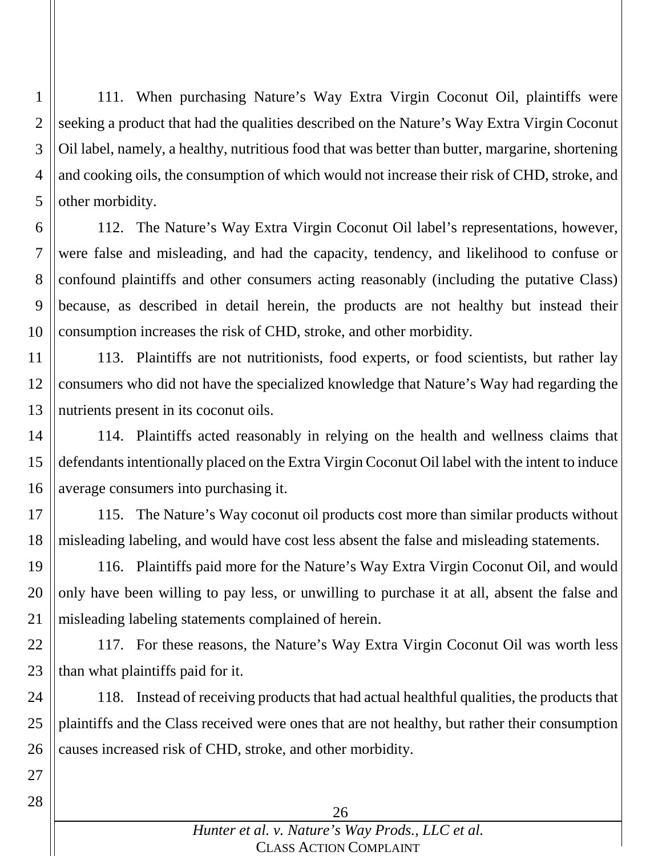1 2 3 4 5 111. When purchasing Nature's Way Extra Virgin Coconut Oil, plaintiffs were seeking a product that had the qualities described on the Nature's Way Extra Virgin Coconut Oil label, namely, a healthy, nutritious food that was better than butter, margarine, shortening and cooking oils, the consumption of which would not increase their risk of CHD, stroke, and other morbidity.

6 7 8 9 10 112. The Nature's Way Extra Virgin Coconut Oil label's representations, however, were false and misleading, and had the capacity, tendency, and likelihood to confuse or confound plaintiffs and other consumers acting reasonably (including the putative Class) because, as described in detail herein, the products are not healthy but instead their consumption increases the risk of CHD, stroke, and other morbidity.

11 12 13 113. Plaintiffs are not nutritionists, food experts, or food scientists, but rather lay consumers who did not have the specialized knowledge that Nature's Way had regarding the nutrients present in its coconut oils.

14 15 16 114. Plaintiffs acted reasonably in relying on the health and wellness claims that defendants intentionally placed on the Extra Virgin Coconut Oil label with the intent to induce average consumers into purchasing it.

17 18 115. The Nature's Way coconut oil products cost more than similar products without misleading labeling, and would have cost less absent the false and misleading statements.

19 20 21 116. Plaintiffs paid more for the Nature's Way Extra Virgin Coconut Oil, and would only have been willing to pay less, or unwilling to purchase it at all, absent the false and misleading labeling statements complained of herein.

22 23 117. For these reasons, the Nature's Way Extra Virgin Coconut Oil was worth less than what plaintiffs paid for it.

24 25 26 118. Instead of receiving products that had actual healthful qualities, the products that plaintiffs and the Class received were ones that are not healthy, but rather their consumption causes increased risk of CHD, stroke, and other morbidity.

26 *Hunter et al. v. Nature's Way Prods., LLC et al.* CLASS ACTION COMPLAINT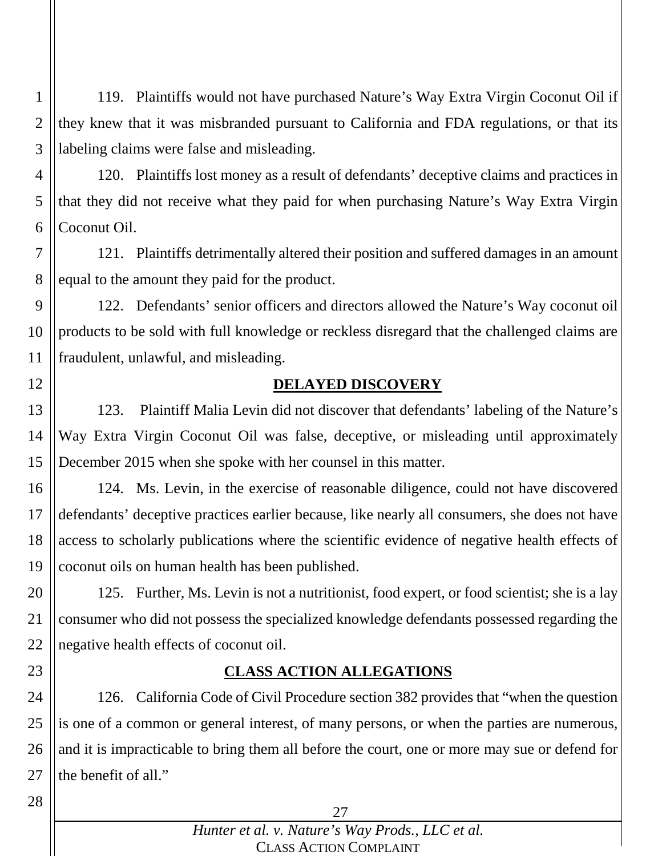1 2 3 119. Plaintiffs would not have purchased Nature's Way Extra Virgin Coconut Oil if they knew that it was misbranded pursuant to California and FDA regulations, or that its labeling claims were false and misleading.

4 5 6 120. Plaintiffs lost money as a result of defendants' deceptive claims and practices in that they did not receive what they paid for when purchasing Nature's Way Extra Virgin Coconut Oil.

7 8 121. Plaintiffs detrimentally altered their position and suffered damages in an amount equal to the amount they paid for the product.

9 10 11 122. Defendants' senior officers and directors allowed the Nature's Way coconut oil products to be sold with full knowledge or reckless disregard that the challenged claims are fraudulent, unlawful, and misleading.

12

### **DELAYED DISCOVERY**

13 14 15 123. Plaintiff Malia Levin did not discover that defendants' labeling of the Nature's Way Extra Virgin Coconut Oil was false, deceptive, or misleading until approximately December 2015 when she spoke with her counsel in this matter.

16 17 18 19 124. Ms. Levin, in the exercise of reasonable diligence, could not have discovered defendants' deceptive practices earlier because, like nearly all consumers, she does not have access to scholarly publications where the scientific evidence of negative health effects of coconut oils on human health has been published.

20 21 22 125. Further, Ms. Levin is not a nutritionist, food expert, or food scientist; she is a lay consumer who did not possess the specialized knowledge defendants possessed regarding the negative health effects of coconut oil.

23

### **CLASS ACTION ALLEGATIONS**

24 25 26 27 126. California Code of Civil Procedure section 382 provides that "when the question is one of a common or general interest, of many persons, or when the parties are numerous, and it is impracticable to bring them all before the court, one or more may sue or defend for the benefit of all."

28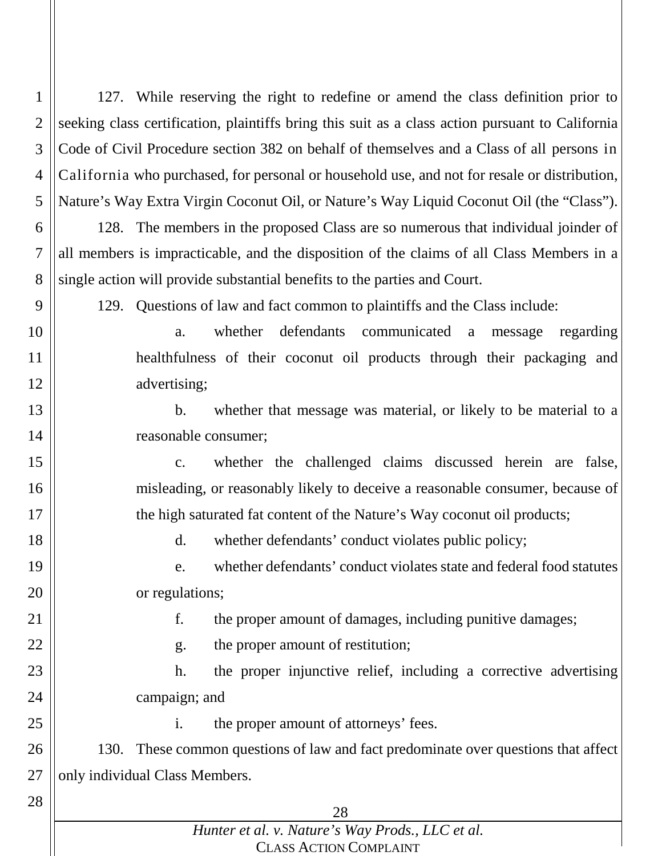1 2 3 4 5 6 127. While reserving the right to redefine or amend the class definition prior to seeking class certification, plaintiffs bring this suit as a class action pursuant to California Code of Civil Procedure section 382 on behalf of themselves and a Class of all persons in California who purchased, for personal or household use, and not for resale or distribution, Nature's Way Extra Virgin Coconut Oil, or Nature's Way Liquid Coconut Oil (the "Class"). 128. The members in the proposed Class are so numerous that individual joinder of

7 8 all members is impracticable, and the disposition of the claims of all Class Members in a single action will provide substantial benefits to the parties and Court.

9

129. Questions of law and fact common to plaintiffs and the Class include:

10

11

12

15

16

17

19

20

22

23

24

25

a. whether defendants communicated a message regarding healthfulness of their coconut oil products through their packaging and advertising;

13 14

b. whether that message was material, or likely to be material to a reasonable consumer;

c. whether the challenged claims discussed herein are false, misleading, or reasonably likely to deceive a reasonable consumer, because of the high saturated fat content of the Nature's Way coconut oil products;

18

d. whether defendants' conduct violates public policy;

e. whether defendants' conduct violates state and federal food statutes or regulations;

21

f. the proper amount of damages, including punitive damages;

- g. the proper amount of restitution;
- h. the proper injunctive relief, including a corrective advertising campaign; and

i. the proper amount of attorneys' fees.

26 27 130. These common questions of law and fact predominate over questions that affect only individual Class Members.

28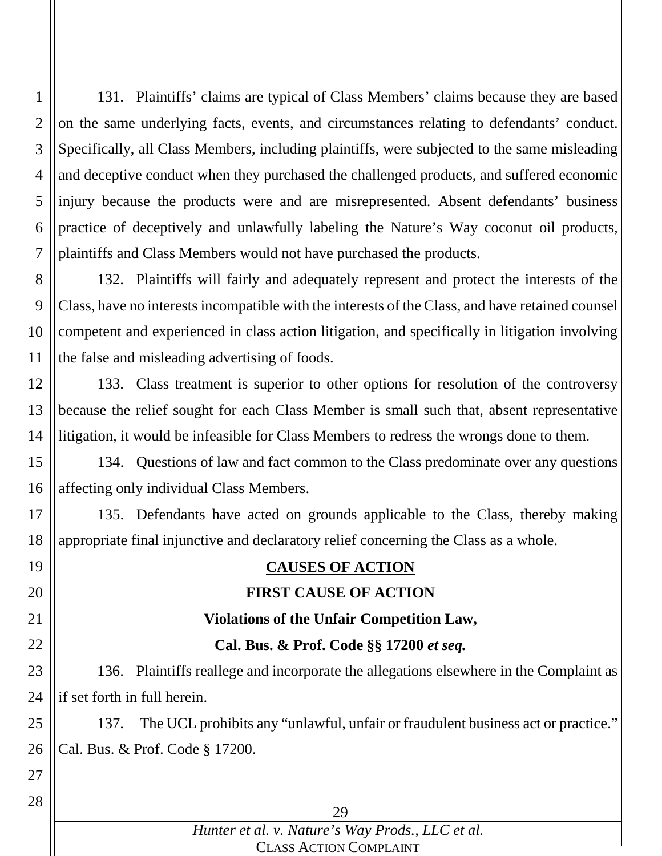1 2 3 4 5 6 7 131. Plaintiffs' claims are typical of Class Members' claims because they are based on the same underlying facts, events, and circumstances relating to defendants' conduct. Specifically, all Class Members, including plaintiffs, were subjected to the same misleading and deceptive conduct when they purchased the challenged products, and suffered economic injury because the products were and are misrepresented. Absent defendants' business practice of deceptively and unlawfully labeling the Nature's Way coconut oil products, plaintiffs and Class Members would not have purchased the products.

8 9 10 11 132. Plaintiffs will fairly and adequately represent and protect the interests of the Class, have no interests incompatible with the interests of the Class, and have retained counsel competent and experienced in class action litigation, and specifically in litigation involving the false and misleading advertising of foods.

12 13 14 133. Class treatment is superior to other options for resolution of the controversy because the relief sought for each Class Member is small such that, absent representative litigation, it would be infeasible for Class Members to redress the wrongs done to them.

15 16 134. Questions of law and fact common to the Class predominate over any questions affecting only individual Class Members.

17 18 135. Defendants have acted on grounds applicable to the Class, thereby making appropriate final injunctive and declaratory relief concerning the Class as a whole.

# **CAUSES OF ACTION**

## **FIRST CAUSE OF ACTION**

### **Violations of the Unfair Competition Law,**

### **Cal. Bus. & Prof. Code §§ 17200** *et seq.*

23 24 136. Plaintiffs reallege and incorporate the allegations elsewhere in the Complaint as if set forth in full herein.

25 26 137. The UCL prohibits any "unlawful, unfair or fraudulent business act or practice." Cal. Bus. & Prof. Code § 17200.

27 28

19

20

21

22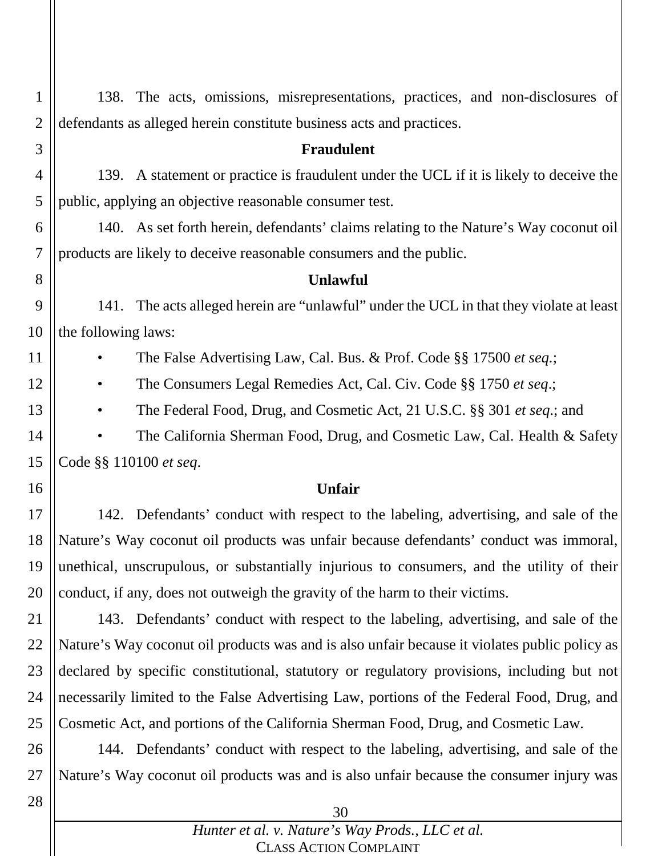1 2 3 4 5 6 7 8 9 138. The acts, omissions, misrepresentations, practices, and non-disclosures of defendants as alleged herein constitute business acts and practices. **Fraudulent** 139. A statement or practice is fraudulent under the UCL if it is likely to deceive the public, applying an objective reasonable consumer test. 140. As set forth herein, defendants' claims relating to the Nature's Way coconut oil products are likely to deceive reasonable consumers and the public. **Unlawful** 141. The acts alleged herein are "unlawful" under the UCL in that they violate at least

10 the following laws:

11

12

13

16

• The False Advertising Law, Cal. Bus. & Prof. Code §§ 17500 *et seq.*;

• The Consumers Legal Remedies Act, Cal. Civ. Code §§ 1750 *et seq*.;

• The Federal Food, Drug, and Cosmetic Act, 21 U.S.C. §§ 301 *et seq*.; and

14 15 The California Sherman Food, Drug, and Cosmetic Law, Cal. Health & Safety Code §§ 110100 *et seq*.

### **Unfair**

17 18 19 20 142. Defendants' conduct with respect to the labeling, advertising, and sale of the Nature's Way coconut oil products was unfair because defendants' conduct was immoral, unethical, unscrupulous, or substantially injurious to consumers, and the utility of their conduct, if any, does not outweigh the gravity of the harm to their victims.

21 22 23 24 25 143. Defendants' conduct with respect to the labeling, advertising, and sale of the Nature's Way coconut oil products was and is also unfair because it violates public policy as declared by specific constitutional, statutory or regulatory provisions, including but not necessarily limited to the False Advertising Law, portions of the Federal Food, Drug, and Cosmetic Act, and portions of the California Sherman Food, Drug, and Cosmetic Law.

26 27 144. Defendants' conduct with respect to the labeling, advertising, and sale of the Nature's Way coconut oil products was and is also unfair because the consumer injury was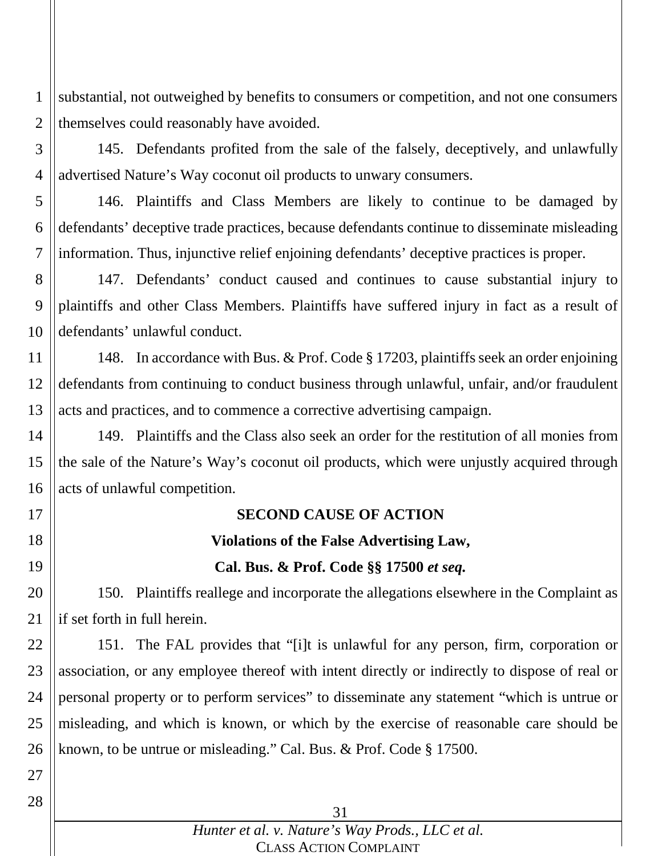1 2 substantial, not outweighed by benefits to consumers or competition, and not one consumers themselves could reasonably have avoided.

3 4 145. Defendants profited from the sale of the falsely, deceptively, and unlawfully advertised Nature's Way coconut oil products to unwary consumers.

5 6 7 146. Plaintiffs and Class Members are likely to continue to be damaged by defendants' deceptive trade practices, because defendants continue to disseminate misleading information. Thus, injunctive relief enjoining defendants' deceptive practices is proper.

8 9 10 147. Defendants' conduct caused and continues to cause substantial injury to plaintiffs and other Class Members. Plaintiffs have suffered injury in fact as a result of defendants' unlawful conduct.

11 12 13 148. In accordance with Bus. & Prof. Code § 17203, plaintiffs seek an order enjoining defendants from continuing to conduct business through unlawful, unfair, and/or fraudulent acts and practices, and to commence a corrective advertising campaign.

14 15 16 149. Plaintiffs and the Class also seek an order for the restitution of all monies from the sale of the Nature's Way's coconut oil products, which were unjustly acquired through acts of unlawful competition.

17

18

19

27

28

# **SECOND CAUSE OF ACTION Violations of the False Advertising Law,**

### **Cal. Bus. & Prof. Code §§ 17500** *et seq.*

20 21 150. Plaintiffs reallege and incorporate the allegations elsewhere in the Complaint as if set forth in full herein.

22 23 24 25 26 151. The FAL provides that "[i]t is unlawful for any person, firm, corporation or association, or any employee thereof with intent directly or indirectly to dispose of real or personal property or to perform services" to disseminate any statement "which is untrue or misleading, and which is known, or which by the exercise of reasonable care should be known, to be untrue or misleading." Cal. Bus. & Prof. Code § 17500.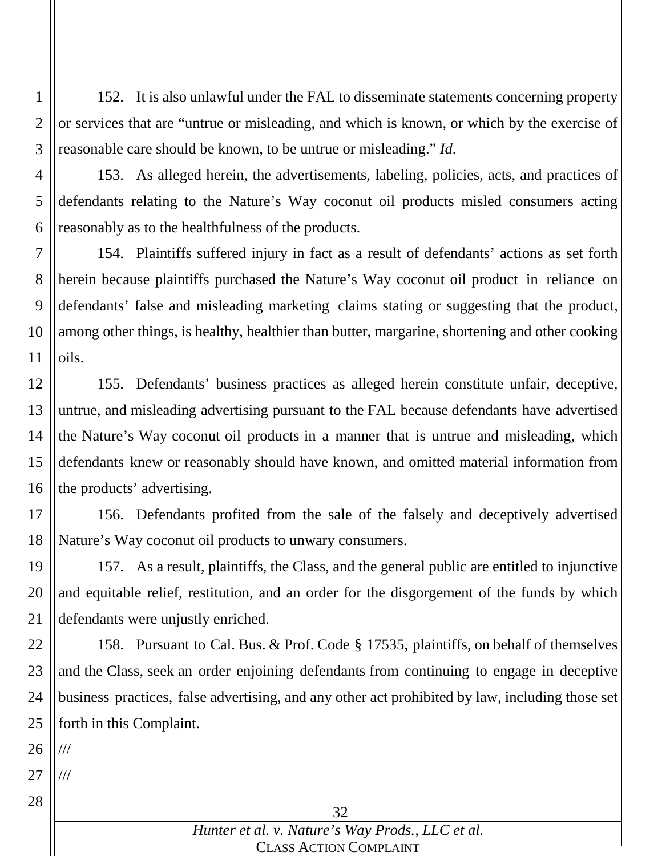1 2 3 152. It is also unlawful under the FAL to disseminate statements concerning property or services that are "untrue or misleading, and which is known, or which by the exercise of reasonable care should be known, to be untrue or misleading." *Id*.

4 5

6 153. As alleged herein, the advertisements, labeling, policies, acts, and practices of defendants relating to the Nature's Way coconut oil products misled consumers acting reasonably as to the healthfulness of the products.

7 8 9 10 11 154. Plaintiffs suffered injury in fact as a result of defendants' actions as set forth herein because plaintiffs purchased the Nature's Way coconut oil product in reliance on defendants' false and misleading marketing claims stating or suggesting that the product, among other things, is healthy, healthier than butter, margarine, shortening and other cooking oils.

12 13 14 15 16 155. Defendants' business practices as alleged herein constitute unfair, deceptive, untrue, and misleading advertising pursuant to the FAL because defendants have advertised the Nature's Way coconut oil products in a manner that is untrue and misleading, which defendants knew or reasonably should have known, and omitted material information from the products' advertising.

17 18 156. Defendants profited from the sale of the falsely and deceptively advertised Nature's Way coconut oil products to unwary consumers.

19 20 21 157. As a result, plaintiffs, the Class, and the general public are entitled to injunctive and equitable relief, restitution, and an order for the disgorgement of the funds by which defendants were unjustly enriched.

22 23 24 25 158. Pursuant to Cal. Bus. & Prof. Code § 17535, plaintiffs, on behalf of themselves and the Class, seek an order enjoining defendants from continuing to engage in deceptive business practices, false advertising, and any other act prohibited by law, including those set forth in this Complaint.

26 ///

27 ///

28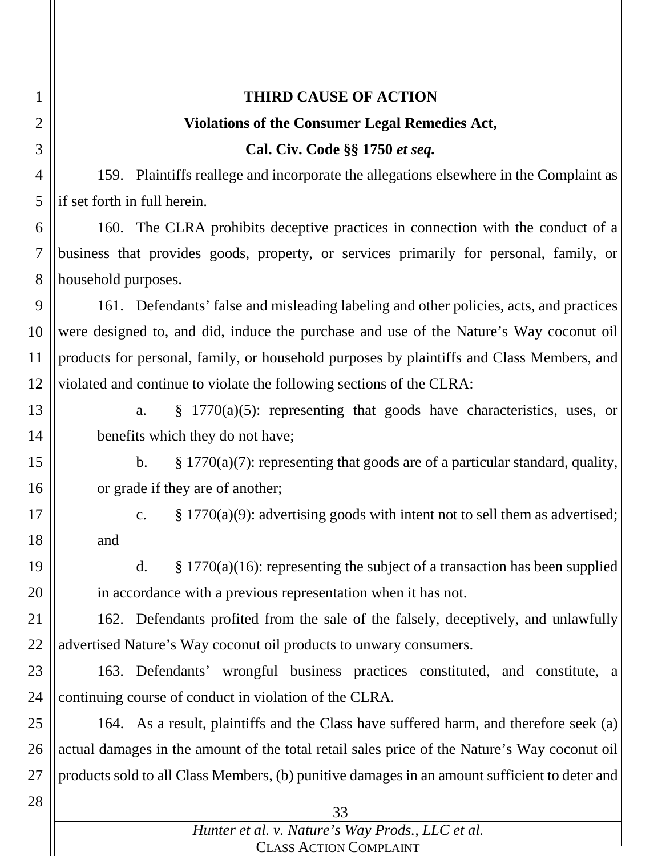| 1              | <b>THIRD CAUSE OF ACTION</b>                                                                    |  |  |
|----------------|-------------------------------------------------------------------------------------------------|--|--|
| $\overline{2}$ | <b>Violations of the Consumer Legal Remedies Act,</b>                                           |  |  |
| 3              | Cal. Civ. Code §§ 1750 et seq.                                                                  |  |  |
| $\overline{4}$ | 159. Plaintiffs reallege and incorporate the allegations elsewhere in the Complaint as          |  |  |
| 5              | if set forth in full herein.                                                                    |  |  |
| 6              | 160. The CLRA prohibits deceptive practices in connection with the conduct of a                 |  |  |
| $\overline{7}$ | business that provides goods, property, or services primarily for personal, family, or          |  |  |
| 8              | household purposes.                                                                             |  |  |
| 9              | 161. Defendants' false and misleading labeling and other policies, acts, and practices          |  |  |
| 10             | were designed to, and did, induce the purchase and use of the Nature's Way coconut oil          |  |  |
| 11             | products for personal, family, or household purposes by plaintiffs and Class Members, and       |  |  |
| 12             | violated and continue to violate the following sections of the CLRA:                            |  |  |
| 13             | $\frac{1770(a)(5)}{2}$ : representing that goods have characteristics, uses, or<br>a.           |  |  |
| 14             | benefits which they do not have;                                                                |  |  |
| 15             | $\S 1770(a)(7)$ : representing that goods are of a particular standard, quality,<br>b.          |  |  |
| 16             | or grade if they are of another;                                                                |  |  |
| 17             | $\S$ 1770(a)(9): advertising goods with intent not to sell them as advertised;<br>$C_{\bullet}$ |  |  |
| 18             | and                                                                                             |  |  |
| 19             | $§$ 1770(a)(16): representing the subject of a transaction has been supplied<br>$\mathbf{d}$ .  |  |  |
| 20             | in accordance with a previous representation when it has not.                                   |  |  |
| 21             | 162. Defendants profited from the sale of the falsely, deceptively, and unlawfully              |  |  |
| 22             | advertised Nature's Way coconut oil products to unwary consumers.                               |  |  |
| 23             | 163. Defendants' wrongful business practices constituted, and constitute, a                     |  |  |
| 24             | continuing course of conduct in violation of the CLRA.                                          |  |  |
| 25             | 164. As a result, plaintiffs and the Class have suffered harm, and therefore seek (a)           |  |  |
| 26             | actual damages in the amount of the total retail sales price of the Nature's Way coconut oil    |  |  |
| 27             | products sold to all Class Members, (b) punitive damages in an amount sufficient to deter and   |  |  |
| 28             | 33                                                                                              |  |  |
|                | Hunter et al. v. Nature's Way Prods., LLC et al.                                                |  |  |
|                | <b>CLASS ACTION COMPLAINT</b>                                                                   |  |  |

CLASS ACTION COMPLAINT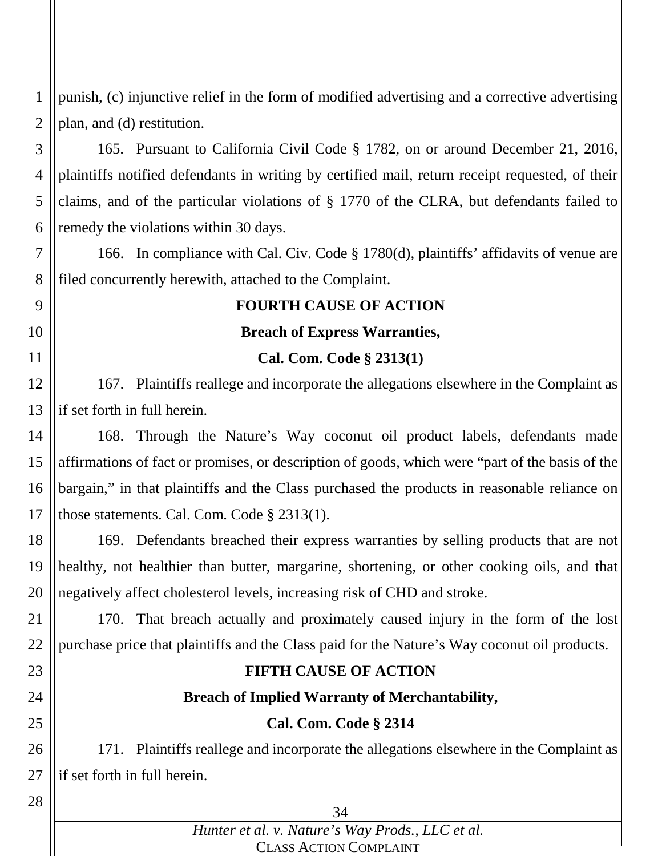1 2 punish, (c) injunctive relief in the form of modified advertising and a corrective advertising plan, and (d) restitution.

3 4 5 6 165. Pursuant to California Civil Code § 1782, on or around December 21, 2016, plaintiffs notified defendants in writing by certified mail, return receipt requested, of their claims, and of the particular violations of § 1770 of the CLRA, but defendants failed to remedy the violations within 30 days.

7 8 166. In compliance with Cal. Civ. Code § 1780(d), plaintiffs' affidavits of venue are filed concurrently herewith, attached to the Complaint.

### **FOURTH CAUSE OF ACTION**

### **Breach of Express Warranties,**

### **Cal. Com. Code § 2313(1)**

12 13 167. Plaintiffs reallege and incorporate the allegations elsewhere in the Complaint as if set forth in full herein.

14 15 16 17 168. Through the Nature's Way coconut oil product labels, defendants made affirmations of fact or promises, or description of goods, which were "part of the basis of the bargain," in that plaintiffs and the Class purchased the products in reasonable reliance on those statements. Cal. Com. Code § 2313(1).

18 19 20 169. Defendants breached their express warranties by selling products that are not healthy, not healthier than butter, margarine, shortening, or other cooking oils, and that negatively affect cholesterol levels, increasing risk of CHD and stroke.

21 22 170. That breach actually and proximately caused injury in the form of the lost purchase price that plaintiffs and the Class paid for the Nature's Way coconut oil products.

23

9

10

11

24

25

26 27

171. Plaintiffs reallege and incorporate the allegations elsewhere in the Complaint as if set forth in full herein.

**FIFTH CAUSE OF ACTION**

**Breach of Implied Warranty of Merchantability,**

**Cal. Com. Code § 2314**

28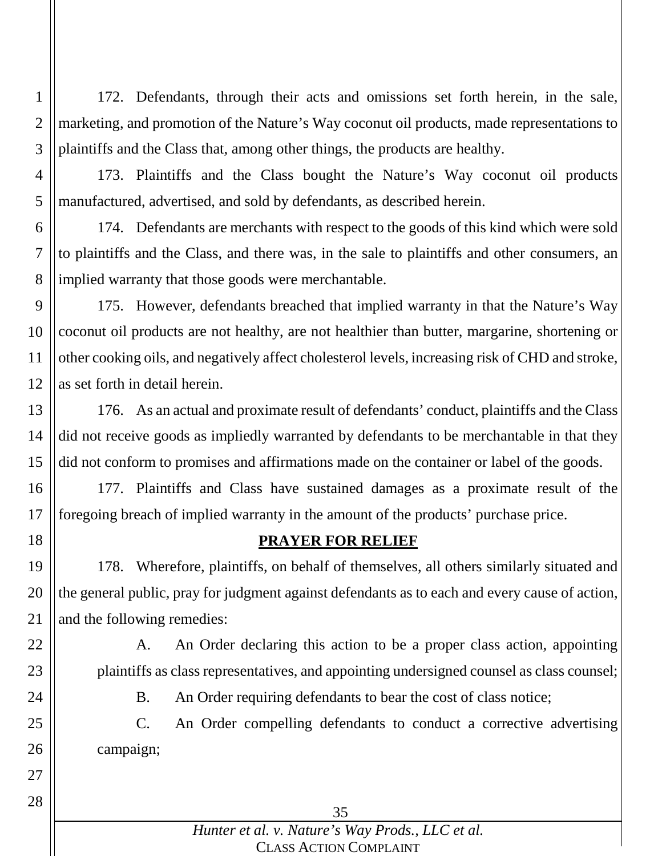1 2 3 172. Defendants, through their acts and omissions set forth herein, in the sale, marketing, and promotion of the Nature's Way coconut oil products, made representations to plaintiffs and the Class that, among other things, the products are healthy.

4 5 173. Plaintiffs and the Class bought the Nature's Way coconut oil products manufactured, advertised, and sold by defendants, as described herein.

6 7 8 174. Defendants are merchants with respect to the goods of this kind which were sold to plaintiffs and the Class, and there was, in the sale to plaintiffs and other consumers, an implied warranty that those goods were merchantable.

9 10 11 12 175. However, defendants breached that implied warranty in that the Nature's Way coconut oil products are not healthy, are not healthier than butter, margarine, shortening or other cooking oils, and negatively affect cholesterol levels, increasing risk of CHD and stroke, as set forth in detail herein.

13 14 15 176. As an actual and proximate result of defendants' conduct, plaintiffs and the Class did not receive goods as impliedly warranted by defendants to be merchantable in that they did not conform to promises and affirmations made on the container or label of the goods.

16 17 177. Plaintiffs and Class have sustained damages as a proximate result of the foregoing breach of implied warranty in the amount of the products' purchase price.

## **PRAYER FOR RELIEF**

19 20 21 178. Wherefore, plaintiffs, on behalf of themselves, all others similarly situated and the general public, pray for judgment against defendants as to each and every cause of action, and the following remedies:

22

23

18

A. An Order declaring this action to be a proper class action, appointing plaintiffs as class representatives, and appointing undersigned counsel as class counsel;

24

B. An Order requiring defendants to bear the cost of class notice;

25 26 C. An Order compelling defendants to conduct a corrective advertising campaign;

35

### *Hunter et al. v. Nature's Way Prods., LLC et al.* CLASS ACTION COMPLAINT

28